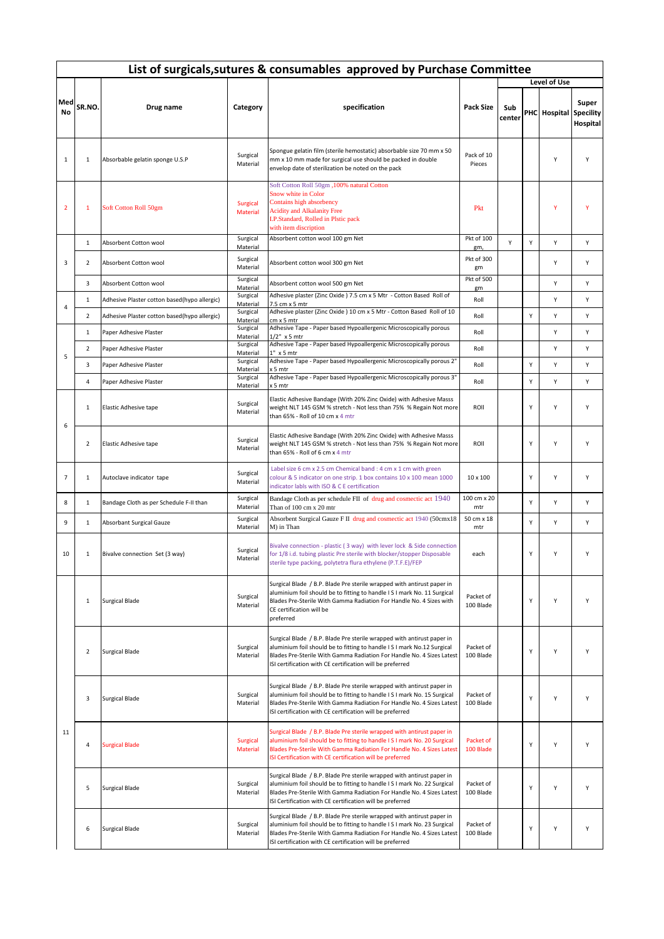|                | List of surgicals, sutures & consumables approved by Purchase Committee |                                              |                                  |                                                                                                                                                                                                                                                                                          |                        |               |   |                        |                   |  |  |  |  |
|----------------|-------------------------------------------------------------------------|----------------------------------------------|----------------------------------|------------------------------------------------------------------------------------------------------------------------------------------------------------------------------------------------------------------------------------------------------------------------------------------|------------------------|---------------|---|------------------------|-------------------|--|--|--|--|
|                |                                                                         |                                              |                                  |                                                                                                                                                                                                                                                                                          |                        |               |   | Level of Use           |                   |  |  |  |  |
| Med<br>No      | SR.NO.                                                                  | Drug name                                    | Category                         | specification                                                                                                                                                                                                                                                                            | <b>Pack Size</b>       | Sub<br>center |   | PHC Hospital Specility | Super<br>Hospital |  |  |  |  |
| $\mathbf{1}$   | $\mathbf 1$                                                             | Absorbable gelatin sponge U.S.P              | Surgical<br>Material             | Spongue gelatin film (sterile hemostatic) absorbable size 70 mm x 50<br>mm x 10 mm made for surgical use should be packed in double<br>envelop date of sterilization be noted on the pack                                                                                                | Pack of 10<br>Pieces   |               |   | Υ                      | Υ                 |  |  |  |  |
| $\overline{2}$ | 1                                                                       | Soft Cotton Roll 50gm                        | Surgical<br><b>Material</b>      | Soft Cotton Roll 50gm , 100% natural Cotton<br>Snow white in Color<br>Contains high absorbency<br><b>Acidity and Alkalanity Free</b><br>I.P.Standard, Rolled in Plstic pack<br>with item discription                                                                                     | Pkt                    |               |   | Y                      | Ÿ                 |  |  |  |  |
|                | $\mathbf{1}$                                                            | Absorbent Cotton wool                        | Surgical<br>Material             | Absorbent cotton wool 100 gm Net                                                                                                                                                                                                                                                         | Pkt of 100<br>gm,      | Y             | Υ | Υ                      | Υ                 |  |  |  |  |
| 3              | 2                                                                       | Absorbent Cotton wool                        | Surgical<br>Material             | Absorbent cotton wool 300 gm Net                                                                                                                                                                                                                                                         | Pkt of 300<br>gm       |               |   | Υ                      | Υ                 |  |  |  |  |
|                | 3                                                                       | Absorbent Cotton wool                        | Surgical<br>Material             | Absorbent cotton wool 500 gm Net                                                                                                                                                                                                                                                         | Pkt of 500<br>gm       |               |   | Υ                      | Υ                 |  |  |  |  |
| 4              | $\mathbf{1}$                                                            | Adhesive Plaster cotton based(hypo allergic) | Surgical<br>Material             | Adhesive plaster (Zinc Oxide ) 7.5 cm x 5 Mtr - Cotton Based Roll of<br>7.5 cm x 5 mtr                                                                                                                                                                                                   | Roll                   |               |   | Υ                      | Y                 |  |  |  |  |
|                | 2                                                                       | Adhesive Plaster cotton based(hypo allergic) | Surgical<br>Material             | Adhesive plaster (Zinc Oxide ) 10 cm x 5 Mtr - Cotton Based Roll of 10<br>cm x 5 m                                                                                                                                                                                                       | Roll                   |               | Y | Υ                      | Υ                 |  |  |  |  |
|                | $\mathbf{1}$                                                            | Paper Adhesive Plaster                       | Surgical<br>Material             | Adhesive Tape - Paper based Hypoallergenic Microscopically porous<br>1/2" x 5 mtr                                                                                                                                                                                                        | Roll                   |               |   | Υ                      | Υ                 |  |  |  |  |
|                | $\overline{2}$                                                          | Paper Adhesive Plaster                       | Surgical<br>Material             | Adhesive Tape - Paper based Hypoallergenic Microscopically porous<br>1" x 5 mtr                                                                                                                                                                                                          | Roll                   |               |   | Y                      | Υ                 |  |  |  |  |
| 5              | 3                                                                       | Paper Adhesive Plaster                       | Surgical                         | Adhesive Tape - Paper based Hypoallergenic Microscopically porous 2"                                                                                                                                                                                                                     | Roll                   |               | Υ | Υ                      | Υ                 |  |  |  |  |
|                | 4                                                                       | Paper Adhesive Plaster                       | Material<br>Surgical             | x 5 mtr<br>Adhesive Tape - Paper based Hypoallergenic Microscopically porous 3"                                                                                                                                                                                                          | Roll                   |               | Υ | Υ                      | Υ                 |  |  |  |  |
|                | $\mathbf{1}$                                                            | Elastic Adhesive tape                        | Material<br>Surgical<br>Material | x 5 mtr<br>Elastic Adhesive Bandage (With 20% Zinc Oxide) with Adhesive Masss<br>weight NLT 145 GSM % stretch - Not less than 75% % Regain Not more<br>than 65% - Roll of 10 cm x 4 mtr                                                                                                  | ROII                   |               | Υ | Υ                      | Υ                 |  |  |  |  |
| 6              | 2                                                                       | Elastic Adhesive tape                        | Surgical<br>Material             | Elastic Adhesive Bandage (With 20% Zinc Oxide) with Adhesive Masss<br>weight NLT 145 GSM % stretch - Not less than 75% % Regain Not more<br>than 65% - Roll of 6 cm x 4 mtr                                                                                                              | ROII                   |               | Υ | Y                      | Y                 |  |  |  |  |
| $\overline{7}$ | $\mathbf{1}$                                                            | Autoclave indicator tape                     | Surgical<br>Material             | Label size 6 cm x 2.5 cm Chemical band : 4 cm x 1 cm with green<br>colour & 5 indicator on one strip. 1 box contains 10 x 100 mean 1000<br>indicator labls with ISO & C E certification                                                                                                  | 10 x 100               |               | Υ | Υ                      | Υ                 |  |  |  |  |
| 8              | $\mathbf 1$                                                             | Bandage Cloth as per Schedule F-II than      | Surgical<br>Material             | Bandage Cloth as per schedule FII of drug and cosmectic act 1940<br>Than of 100 cm x 20 mtr                                                                                                                                                                                              | 100 cm x 20<br>mtr     |               | Υ | Y                      | Υ                 |  |  |  |  |
| 9              | $\mathbf{1}$                                                            | Absorbant Surgical Gauze                     | Surgical<br>Material             | Absorbent Surgical Gauze F II drug and cosmectic act 1940 (50cmx18<br>M) in Than                                                                                                                                                                                                         | 50 cm x 18<br>mtr      |               | Υ | Υ                      | Υ                 |  |  |  |  |
| 10             | 1                                                                       | Bivalve connection Set (3 way)               | Surgical<br>Material             | Bivalve connection - plastic (3 way) with lever lock & Side connection<br>for 1/8 i.d. tubing plastic Pre sterile with blocker/stopper Disposable<br>sterile type packing, polytetra flura ethylene (P.T.F.E)/FEP                                                                        | each                   |               | Υ | Y                      | Υ                 |  |  |  |  |
|                | $\mathbf{1}$                                                            | <b>Surgical Blade</b>                        | Surgical<br>Material             | Surgical Blade / B.P. Blade Pre sterile wrapped with antirust paper in<br>aluminium foil should be to fitting to handle I S I mark No. 11 Surgical<br>Blades Pre-Sterile With Gamma Radiation For Handle No. 4 Sizes with<br>CE certification will be<br>preferred                       | Packet of<br>100 Blade |               | Υ | Υ                      | Υ                 |  |  |  |  |
|                | $\overline{2}$                                                          | <b>Surgical Blade</b>                        | Surgical<br>Material             | Surgical Blade / B.P. Blade Pre sterile wrapped with antirust paper in<br>aluminium foil should be to fitting to handle IS I mark No.12 Surgical<br>Blades Pre-Sterile With Gamma Radiation For Handle No. 4 Sizes Latest<br>ISI certification with CE certification will be preferred   | Packet of<br>100 Blade |               | Y | Y                      | Y                 |  |  |  |  |
|                | 3                                                                       | <b>Surgical Blade</b>                        | Surgical<br>Material             | Surgical Blade / B.P. Blade Pre sterile wrapped with antirust paper in<br>aluminium foil should be to fitting to handle I S I mark No. 15 Surgical<br>Blades Pre-Sterile With Gamma Radiation For Handle No. 4 Sizes Latest<br>ISI certification with CE certification will be preferred | Packet of<br>100 Blade |               | Y | Y                      | Υ                 |  |  |  |  |
| 11             | 4                                                                       | <b>Surgical Blade</b>                        | Surgical<br><b>Material</b>      | Surgical Blade / B.P. Blade Pre sterile wrapped with antirust paper in<br>aluminium foil should be to fitting to handle I S I mark No. 20 Surgical<br>Blades Pre-Sterile With Gamma Radiation For Handle No. 4 Sizes Latest<br>ISI Certification with CE certification will be preferred | Packet of<br>100 Blade |               | Y | Y                      | Υ                 |  |  |  |  |
|                | 5                                                                       | <b>Surgical Blade</b>                        | Surgical<br>Material             | Surgical Blade / B.P. Blade Pre sterile wrapped with antirust paper in<br>aluminium foil should be to fitting to handle I S I mark No. 22 Surgical<br>Blades Pre-Sterile With Gamma Radiation For Handle No. 4 Sizes Latest<br>ISI Certification with CE certification will be preferred | Packet of<br>100 Blade |               | Υ | Υ                      | Υ                 |  |  |  |  |
|                | 6                                                                       | <b>Surgical Blade</b>                        | Surgical<br>Material             | Surgical Blade / B.P. Blade Pre sterile wrapped with antirust paper in<br>aluminium foil should be to fitting to handle I S I mark No. 23 Surgical<br>Blades Pre-Sterile With Gamma Radiation For Handle No. 4 Sizes Latest<br>ISI certification with CE certification will be preferred | Packet of<br>100 Blade |               | Υ | Υ                      | Υ                 |  |  |  |  |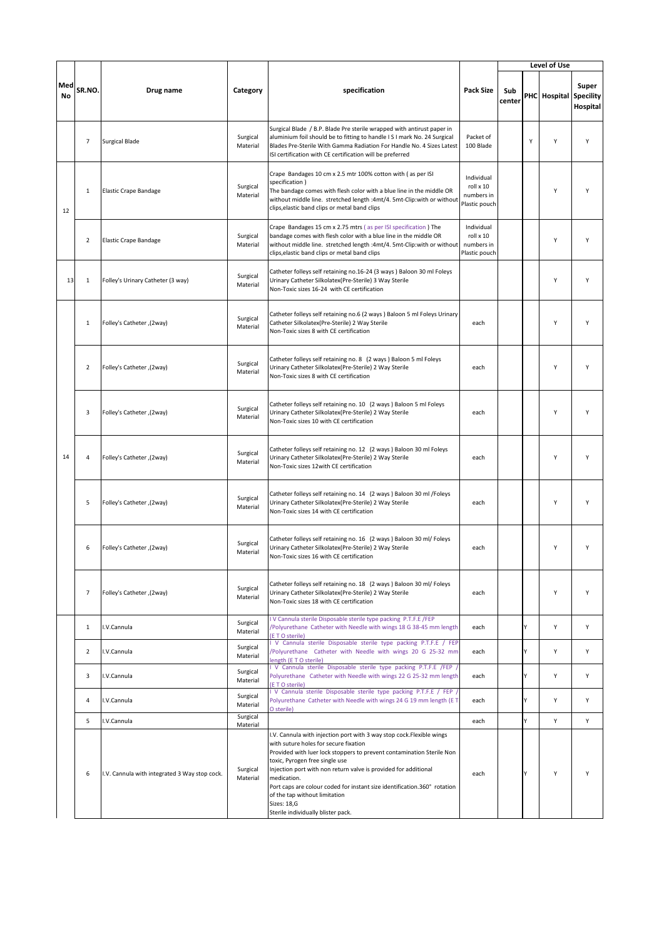|           |                |                                               |                      |                                                                                                                                                                                                                                                                                                                                                                                                                                                                                     |                                                        |               |   | Level of Use           |                   |
|-----------|----------------|-----------------------------------------------|----------------------|-------------------------------------------------------------------------------------------------------------------------------------------------------------------------------------------------------------------------------------------------------------------------------------------------------------------------------------------------------------------------------------------------------------------------------------------------------------------------------------|--------------------------------------------------------|---------------|---|------------------------|-------------------|
| Med<br>No | SR.NO.         | Drug name                                     | Category             | specification                                                                                                                                                                                                                                                                                                                                                                                                                                                                       | <b>Pack Size</b>                                       | Sub<br>center |   | PHC Hospital Specility | Super<br>Hospital |
|           | 7              | <b>Surgical Blade</b>                         | Surgical<br>Material | Surgical Blade / B.P. Blade Pre sterile wrapped with antirust paper in<br>aluminium foil should be to fitting to handle IS I mark No. 24 Surgical<br>Blades Pre-Sterile With Gamma Radiation For Handle No. 4 Sizes Latest<br>ISI certification with CE certification will be preferred                                                                                                                                                                                             | Packet of<br>100 Blade                                 |               | Y | Y                      | Y                 |
| 12        | $1\,$          | <b>Elastic Crape Bandage</b>                  | Surgical<br>Material | Crape Bandages 10 cm x 2.5 mtr 100% cotton with (as per ISI<br>specification)<br>The bandage comes with flesh color with a blue line in the middle OR<br>without middle line. stretched length :4mt/4. 5mt-Clip:with or without<br>clips, elastic band clips or metal band clips                                                                                                                                                                                                    | Individual<br>roll x 10<br>numbers in<br>Plastic pouch |               |   | Υ                      | Υ                 |
|           | $\overline{2}$ | <b>Elastic Crape Bandage</b>                  | Surgical<br>Material | Crape Bandages 15 cm x 2.75 mtrs (as per ISI specification ) The<br>bandage comes with flesh color with a blue line in the middle OR<br>without middle line. stretched length :4mt/4.5mt-Clip:with or without<br>clips, elastic band clips or metal band clips                                                                                                                                                                                                                      | Individual<br>roll x 10<br>numbers in<br>Plastic pouch |               |   | Υ                      | Υ                 |
| 13        | $\mathbf{1}$   | Folley's Urinary Catheter (3 way)             | Surgical<br>Material | Catheter folleys self retaining no.16-24 (3 ways) Baloon 30 ml Foleys<br>Urinary Catheter Silkolatex(Pre-Sterile) 3 Way Sterile<br>Non-Toxic sizes 16-24 with CE certification                                                                                                                                                                                                                                                                                                      |                                                        |               |   | Υ                      | Y                 |
|           | $\mathbf{1}$   | Folley's Catheter , (2way)                    | Surgical<br>Material | Catheter folleys self retaining no.6 (2 ways ) Baloon 5 ml Foleys Urinary<br>Catheter Silkolatex(Pre-Sterile) 2 Way Sterile<br>Non-Toxic sizes 8 with CE certification                                                                                                                                                                                                                                                                                                              | each                                                   |               |   | Y                      | Υ                 |
|           | 2              | Folley's Catheter, (2way)                     | Surgical<br>Material | Catheter folleys self retaining no. 8 (2 ways) Baloon 5 ml Foleys<br>Urinary Catheter Silkolatex(Pre-Sterile) 2 Way Sterile<br>Non-Toxic sizes 8 with CE certification                                                                                                                                                                                                                                                                                                              | each                                                   |               |   | Y                      | Υ                 |
|           | 3              | Folley's Catheter, (2way)                     | Surgical<br>Material | Catheter folleys self retaining no. 10 (2 ways) Baloon 5 ml Foleys<br>Urinary Catheter Silkolatex(Pre-Sterile) 2 Way Sterile<br>Non-Toxic sizes 10 with CE certification                                                                                                                                                                                                                                                                                                            | each                                                   |               |   | Υ                      | Y                 |
| 14        | 4              | Folley's Catheter , (2way)                    | Surgical<br>Material | Catheter folleys self retaining no. 12 (2 ways) Baloon 30 ml Foleys<br>Urinary Catheter Silkolatex(Pre-Sterile) 2 Way Sterile<br>Non-Toxic sizes 12 with CE certification                                                                                                                                                                                                                                                                                                           | each                                                   |               |   | Υ                      | Y                 |
|           | 5              | Folley's Catheter , (2way)                    | Surgical<br>Material | Catheter folleys self retaining no. 14 (2 ways) Baloon 30 ml /Foleys<br>Urinary Catheter Silkolatex(Pre-Sterile) 2 Way Sterile<br>Non-Toxic sizes 14 with CE certification                                                                                                                                                                                                                                                                                                          | each                                                   |               |   | Υ                      | Υ                 |
|           | 6              | Folley's Catheter , (2way)                    | Surgical<br>Material | Catheter folleys self retaining no. 16 (2 ways) Baloon 30 ml/ Foleys<br>Urinary Catheter Silkolatex(Pre-Sterile) 2 Way Sterile<br>Non-Toxic sizes 16 with CE certification                                                                                                                                                                                                                                                                                                          | each                                                   |               |   | Υ                      | Υ                 |
|           | $\overline{7}$ | Folley's Catheter ,(2way)                     | Surgical<br>Material | Catheter folleys self retaining no. 18 (2 ways ) Baloon 30 ml/ Foleys<br>Urinary Catheter Silkolatex(Pre-Sterile) 2 Way Sterile<br>Non-Toxic sizes 18 with CE certification                                                                                                                                                                                                                                                                                                         | each                                                   |               |   | Υ                      | Υ                 |
|           | $\mathbf{1}$   | I.V.Cannula                                   | Surgical<br>Material | V Cannula sterile Disposable sterile type packing P.T.F.E /FEP<br>Polyurethane Catheter with Needle with wings 18 G 38-45 mm length<br><b>ETO</b> sterile)                                                                                                                                                                                                                                                                                                                          | each                                                   |               | Υ | Y                      | Υ                 |
|           | 2              | I.V.Cannula                                   | Surgical<br>Material | V Cannula sterile Disposable sterile type packing P.T.F.E / FEP<br>Polyurethane Catheter with Needle with wings 20 G 25-32 mm<br>length (E T O sterile)                                                                                                                                                                                                                                                                                                                             | each                                                   |               | Υ | Υ                      | Υ                 |
|           | 3              | I.V.Cannula                                   | Surgical<br>Material | I V Cannula sterile Disposable sterile type packing P.T.F.E /FEP<br>Polyurethane Catheter with Needle with wings 22 G 25-32 mm length<br><b>ETO</b> sterile)                                                                                                                                                                                                                                                                                                                        | each                                                   |               | Υ | Υ                      | Υ                 |
|           | 4              | I.V.Cannula                                   | Surgical<br>Material | V Cannula sterile Disposable sterile type packing P.T.F.E / FEP /<br>Polyurethane Catheter with Needle with wings 24 G 19 mm length (E T<br>O sterile)                                                                                                                                                                                                                                                                                                                              | each                                                   |               | Υ | Υ                      | Υ                 |
|           | 5              | I.V.Cannula                                   | Surgical<br>Material |                                                                                                                                                                                                                                                                                                                                                                                                                                                                                     | each                                                   |               | Υ | Y                      | Y                 |
|           | 6              | I.V. Cannula with integrated 3 Way stop cock. | Surgical<br>Material | I.V. Cannula with injection port with 3 way stop cock.Flexible wings<br>with suture holes for secure fixation<br>Provided with luer lock stoppers to prevent contamination Sterile Non<br>toxic, Pyrogen free single use<br>Injection port with non return valve is provided for additional<br>medication.<br>Port caps are colour coded for instant size identification.360° rotation<br>of the tap without limitation<br><b>Sizes: 18,G</b><br>Sterile individually blister pack. | each                                                   |               | Υ | Υ                      | Υ                 |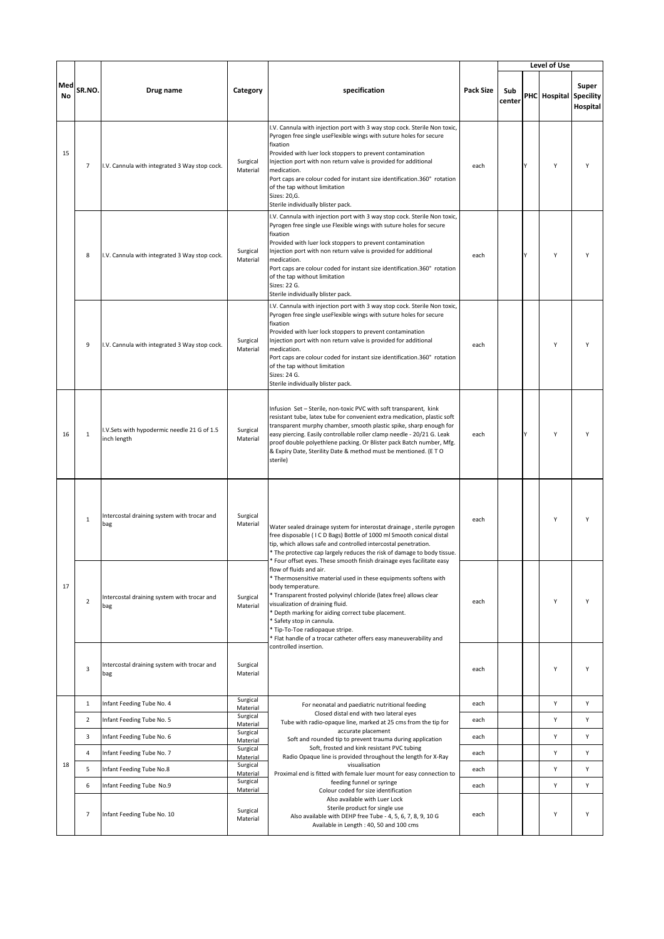|           |                |                                                           |                      |                                                                                                                                                                                                                                                                                                                                                                                                                                                                                |                  |               |   | Level of Use           |                   |
|-----------|----------------|-----------------------------------------------------------|----------------------|--------------------------------------------------------------------------------------------------------------------------------------------------------------------------------------------------------------------------------------------------------------------------------------------------------------------------------------------------------------------------------------------------------------------------------------------------------------------------------|------------------|---------------|---|------------------------|-------------------|
| Med<br>No | SR.NO.         | Drug name                                                 | Category             | specification                                                                                                                                                                                                                                                                                                                                                                                                                                                                  | <b>Pack Size</b> | Sub<br>center |   | PHC Hospital Specility | Super<br>Hospital |
| 15        | $\overline{7}$ | I.V. Cannula with integrated 3 Way stop cock.             | Surgical<br>Material | I.V. Cannula with injection port with 3 way stop cock. Sterile Non toxic,<br>Pyrogen free single useFlexible wings with suture holes for secure<br>fixation<br>Provided with luer lock stoppers to prevent contamination<br>Injection port with non return valve is provided for additional<br>medication.<br>Port caps are colour coded for instant size identification.360° rotation<br>of the tap without limitation<br>Sizes: 20,G.<br>Sterile individually blister pack.  | each             |               | γ | Υ                      | Y                 |
|           | 8              | I.V. Cannula with integrated 3 Way stop cock.             | Surgical<br>Material | I.V. Cannula with injection port with 3 way stop cock. Sterile Non toxic,<br>Pyrogen free single use Flexible wings with suture holes for secure<br>fixation<br>Provided with luer lock stoppers to prevent contamination<br>Injection port with non return valve is provided for additional<br>medication.<br>Port caps are colour coded for instant size identification.360° rotation<br>of the tap without limitation<br>Sizes: 22 G.<br>Sterile individually blister pack. | each             |               | Y | Y                      | Y                 |
|           | 9              | I.V. Cannula with integrated 3 Way stop cock.             | Surgical<br>Material | I.V. Cannula with injection port with 3 way stop cock. Sterile Non toxic,<br>Pyrogen free single useFlexible wings with suture holes for secure<br>fixation<br>Provided with luer lock stoppers to prevent contamination<br>Injection port with non return valve is provided for additional<br>medication.<br>Port caps are colour coded for instant size identification.360° rotation<br>of the tap without limitation<br>Sizes: 24 G.<br>Sterile individually blister pack.  | each             |               |   | Y                      | Y                 |
| 16        | $\mathbf{1}$   | .V.Sets with hypodermic needle 21 G of 1.5<br>inch length | Surgical<br>Material | Infusion Set - Sterile, non-toxic PVC with soft transparent, kink<br>resistant tube, latex tube for convenient extra medication, plastic soft<br>transparent murphy chamber, smooth plastic spike, sharp enough for<br>easy piercing. Easily controllable roller clamp needle - 20/21 G. Leak<br>proof double polyethlene packing. Or Blister pack Batch number, Mfg.<br>& Expiry Date, Sterility Date & method must be mentioned. (ETO<br>sterile)                            | each             |               |   | Y                      | Y                 |
|           | $\mathbf{1}$   | Intercostal draining system with trocar and<br>bag        | Surgical<br>Material | Water sealed drainage system for interostat drainage, sterile pyrogen<br>free disposable (ICD Bags) Bottle of 1000 ml Smooth conical distal<br>tip, which allows safe and controlled intercostal penetration.<br>* The protective cap largely reduces the risk of damage to body tissue.<br>Four offset eyes. These smooth finish drainage eyes facilitate easy                                                                                                                | each             |               |   | Y                      | Y                 |
| 17        | $\overline{2}$ | Intercostal draining system with trocar and<br>bag        | Surgical<br>Material | flow of fluids and air.<br>* Thermosensitive material used in these equipments softens with<br>body temperature.<br>* Transparent frosted polyvinyl chloride (latex free) allows clear<br>visualization of draining fluid.<br>Depth marking for aiding correct tube placement.<br>Safety stop in cannula.<br>* Tip-To-Toe radiopaque stripe.<br>Flat handle of a trocar catheter offers easy maneuverability and<br>controlled insertion.                                      | each             |               |   | Υ                      | Υ                 |
|           | 3              | Intercostal draining system with trocar and<br>bag        | Surgical<br>Material |                                                                                                                                                                                                                                                                                                                                                                                                                                                                                | each             |               |   | Υ                      | Υ                 |
|           | $\mathbf{1}$   | Infant Feeding Tube No. 4                                 | Surgical<br>Material | For neonatal and paediatric nutritional feeding                                                                                                                                                                                                                                                                                                                                                                                                                                | each             |               |   | Υ                      | Υ                 |
|           | $\overline{2}$ | Infant Feeding Tube No. 5                                 | Surgical<br>Material | Closed distal end with two lateral eyes<br>Tube with radio-opaque line, marked at 25 cms from the tip for                                                                                                                                                                                                                                                                                                                                                                      | each             |               |   | Υ                      | Υ                 |
|           | 3              | Infant Feeding Tube No. 6                                 | Surgical<br>Material | accurate placement<br>Soft and rounded tip to prevent trauma during application                                                                                                                                                                                                                                                                                                                                                                                                | each             |               |   | Υ                      | Υ                 |
|           | $\overline{a}$ | Infant Feeding Tube No. 7                                 | Surgical<br>Material | Soft, frosted and kink resistant PVC tubing<br>Radio Opaque line is provided throughout the length for X-Ray                                                                                                                                                                                                                                                                                                                                                                   | each             |               |   | Υ                      | Υ                 |
| 18        | 5              | Infant Feeding Tube No.8                                  | Surgical<br>Material | visualisation<br>Proximal end is fitted with female luer mount for easy connection to                                                                                                                                                                                                                                                                                                                                                                                          | each             |               |   | Υ                      | Υ                 |
|           | 6              | Infant Feeding Tube No.9                                  | Surgical<br>Material | feeding funnel or syringe<br>Colour coded for size identification                                                                                                                                                                                                                                                                                                                                                                                                              | each             |               |   | Υ                      | Υ                 |
|           | $\overline{7}$ | Infant Feeding Tube No. 10                                | Surgical<br>Material | Also available with Luer Lock<br>Sterile product for single use<br>Also available with DEHP free Tube - 4, 5, 6, 7, 8, 9, 10 G<br>Available in Length: 40, 50 and 100 cms                                                                                                                                                                                                                                                                                                      | each             |               |   | Υ                      | Υ                 |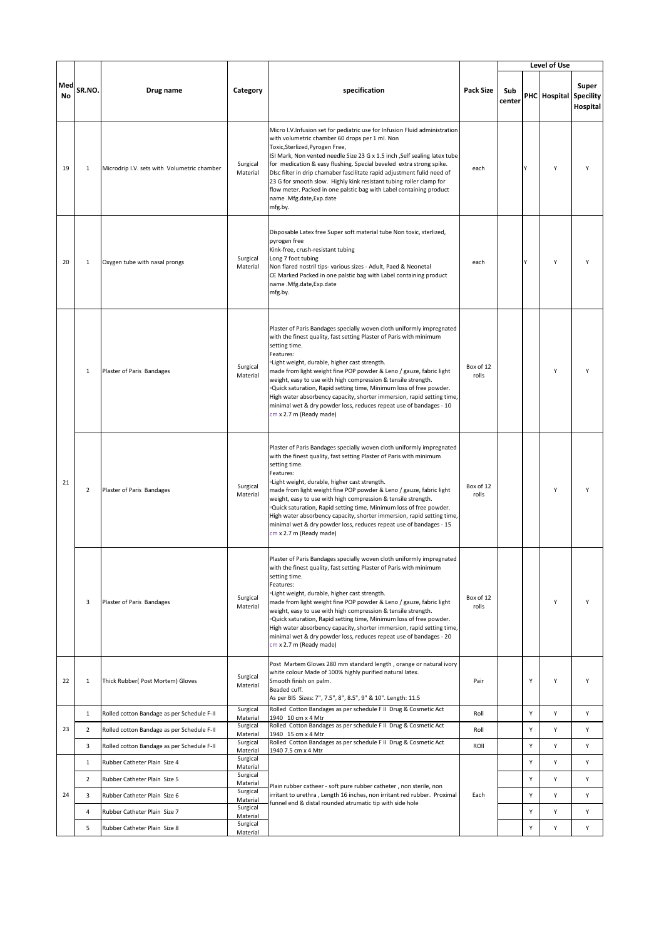|                  |                |                                             |                                  |                                                                                                                                                                                                                                                                                                                                                                                                                                                                                                                                                                                                                       |                    |               |   | Level of Use           |                   |
|------------------|----------------|---------------------------------------------|----------------------------------|-----------------------------------------------------------------------------------------------------------------------------------------------------------------------------------------------------------------------------------------------------------------------------------------------------------------------------------------------------------------------------------------------------------------------------------------------------------------------------------------------------------------------------------------------------------------------------------------------------------------------|--------------------|---------------|---|------------------------|-------------------|
| Med<br><b>No</b> | SR.NO.         | Drug name                                   | Category                         | specification                                                                                                                                                                                                                                                                                                                                                                                                                                                                                                                                                                                                         | <b>Pack Size</b>   | Sub<br>center |   | PHC Hospital Specility | Super<br>Hospital |
| 19               | $1\,$          | Microdrip I.V. sets with Volumetric chamber | Surgical<br>Material             | Micro I.V.Infusion set for pediatric use for Infusion Fluid administration<br>with volumetric chamber 60 drops per 1 ml. Non<br>Toxic, Sterlized, Pyrogen Free,<br>ISI Mark, Non vented needle Size 23 G x 1.5 inch , Self sealing latex tube<br>for medication & easy flushing. Special beveled extra strong spike.<br>DIsc filter in drip chamaber fascilitate rapid adjustment fulid need of<br>23 G for smooth slow. Highly kink resistant tubing roller clamp for<br>flow meter. Packed in one palstic bag with Label containing product<br>name .Mfg.date,Exp.date<br>mfg.by.                                   | each               |               | ٧ | Y                      | Y                 |
| 20               | $\mathbf{1}$   | Oxygen tube with nasal prongs               | Surgical<br>Material             | Disposable Latex free Super soft material tube Non toxic, sterlized,<br>pyrogen free<br>Kink-free, crush-resistant tubing<br>Long 7 foot tubing<br>Non flared nostril tips- various sizes - Adult, Paed & Neonetal<br>CE Marked Packed in one palstic bag with Label containing product<br>name .Mfg.date,Exp.date<br>mfg.by.                                                                                                                                                                                                                                                                                         | each               |               | ٧ | Y                      | Y                 |
|                  | $\mathbf{1}$   | Plaster of Paris Bandages                   | Surgical<br>Material             | Plaster of Paris Bandages specially woven cloth uniformly impregnated<br>with the finest quality, fast setting Plaster of Paris with minimum<br>setting time.<br>Features:<br>∘Light weight, durable, higher cast strength.<br>made from light weight fine POP powder & Leno / gauze, fabric light<br>weight, easy to use with high compression & tensile strength.<br>Quick saturation, Rapid setting time, Minimum loss of free powder.<br>High water absorbency capacity, shorter immersion, rapid setting time,<br>minimal wet & dry powder loss, reduces repeat use of bandages - 10<br>cm x 2.7 m (Ready made)  | Box of 12<br>rolls |               |   | Y                      | Y                 |
| 21               | $\overline{2}$ | Plaster of Paris Bandages                   | Surgical<br>Material             | Plaster of Paris Bandages specially woven cloth uniformly impregnated<br>with the finest quality, fast setting Plaster of Paris with minimum<br>setting time.<br>Features:<br>·Light weight, durable, higher cast strength.<br>made from light weight fine POP powder & Leno / gauze, fabric light<br>weight, easy to use with high compression & tensile strength.<br>Quick saturation, Rapid setting time, Minimum loss of free powder.<br>High water absorbency capacity, shorter immersion, rapid setting time,<br>minimal wet & dry powder loss, reduces repeat use of bandages - 15<br>cm x 2.7 m (Ready made)  | Box of 12<br>rolls |               |   | Y                      | Y                 |
|                  | 3              | Plaster of Paris Bandages                   | Surgical<br>Material             | Plaster of Paris Bandages specially woven cloth uniformly impregnated<br>with the finest quality, fast setting Plaster of Paris with minimum<br>setting time.<br>Features:<br>Light weight, durable, higher cast strength.<br>made from light weight fine POP powder & Leno / gauze, fabric light<br>weight, easy to use with high compression & tensile strength.<br>. Quick saturation, Rapid setting time, Minimum loss of free powder.<br>High water absorbency capacity, shorter immersion, rapid setting time,<br>minimal wet & dry powder loss, reduces repeat use of bandages - 20<br>cm x 2.7 m (Ready made) | Box of 12<br>rolls |               |   | Υ                      | Υ                 |
| 22               | $\mathbf{1}$   | Thick Rubber( Post Mortem) Gloves           | Surgical<br>Material             | Post Martem Gloves 280 mm standard length, orange or natural ivory<br>white colour Made of 100% highly purified natural latex.<br>Smooth finish on palm.<br>Beaded cuff.<br>As per BIS Sizes: 7", 7.5", 8", 8.5", 9" & 10". Length: 11.5                                                                                                                                                                                                                                                                                                                                                                              | Pair               |               | Y | Υ                      | Υ                 |
|                  | $\mathbf{1}$   | Rolled cotton Bandage as per Schedule F-II  | Surgical<br>Material             | Rolled Cotton Bandages as per schedule F II Drug & Cosmetic Act<br>1940 10 cm x 4 Mtr                                                                                                                                                                                                                                                                                                                                                                                                                                                                                                                                 | Roll               |               | Υ | Υ                      | Υ                 |
| 23               | $\overline{2}$ | Rolled cotton Bandage as per Schedule F-II  | Surgical<br>Material             | Rolled Cotton Bandages as per schedule F II Drug & Cosmetic Act<br>1940 15 cm x 4 Mtr                                                                                                                                                                                                                                                                                                                                                                                                                                                                                                                                 | Roll               |               | Υ | Υ                      | Υ                 |
|                  | 3              | Rolled cotton Bandage as per Schedule F-II  | Surgical<br>Material             | Rolled Cotton Bandages as per schedule F II Drug & Cosmetic Act<br>1940 7.5 cm x 4 Mtr                                                                                                                                                                                                                                                                                                                                                                                                                                                                                                                                | ROII               |               | Υ | Υ                      | Υ                 |
|                  | $\mathbf{1}$   | Rubber Catheter Plain Size 4                | Surgical<br>Material             |                                                                                                                                                                                                                                                                                                                                                                                                                                                                                                                                                                                                                       |                    |               | Υ | Υ                      | Υ                 |
|                  | $\overline{2}$ | Rubber Catheter Plain Size 5                | Surgical<br>Material<br>Surgical | Plain rubber catheer - soft pure rubber catheter, non sterile, non                                                                                                                                                                                                                                                                                                                                                                                                                                                                                                                                                    | Each               |               | Ý | Υ                      | Υ                 |
| 24               | 3              | Rubber Catheter Plain Size 6                | Material<br>Surgical             | irritant to urethra, Length 16 inches, non irritant red rubber. Proximal<br>funnel end & distal rounded atrumatic tip with side hole                                                                                                                                                                                                                                                                                                                                                                                                                                                                                  |                    |               | Y | Y                      | Υ                 |
|                  | 4              | Rubber Catheter Plain Size 7                | Material<br>Surgical             |                                                                                                                                                                                                                                                                                                                                                                                                                                                                                                                                                                                                                       |                    |               | Υ | Υ                      | Υ                 |
|                  | 5              | Rubber Catheter Plain Size 8                | Material                         |                                                                                                                                                                                                                                                                                                                                                                                                                                                                                                                                                                                                                       |                    |               | Υ | Υ                      | Υ                 |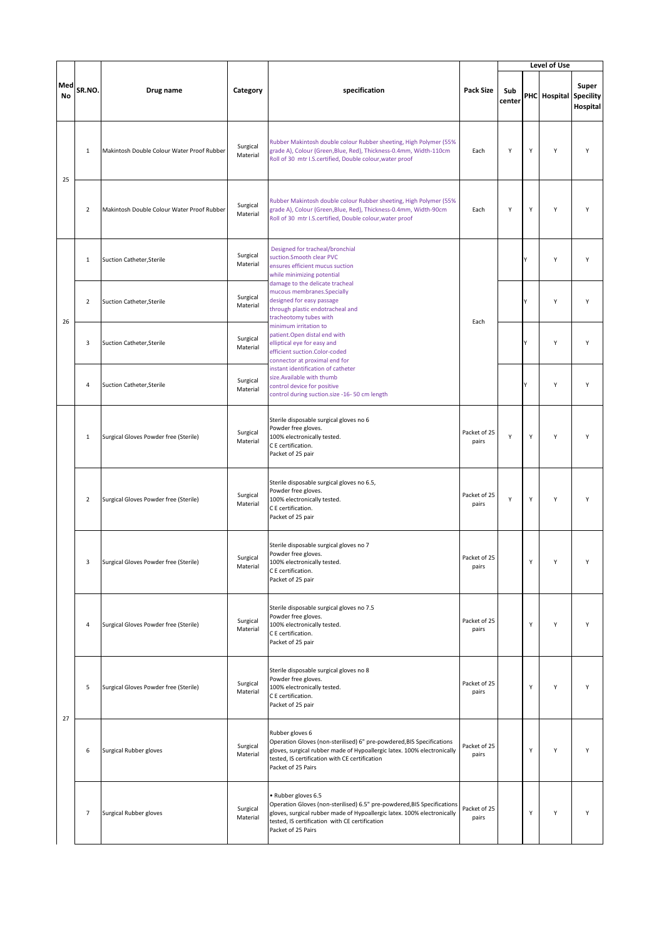|           |                |                                            |                      |                                                                                                                                                                                                                                                   |                       |               |   | Level of Use           |                   |
|-----------|----------------|--------------------------------------------|----------------------|---------------------------------------------------------------------------------------------------------------------------------------------------------------------------------------------------------------------------------------------------|-----------------------|---------------|---|------------------------|-------------------|
| Med<br>No | SR.NO.         | Drug name                                  | Category             | specification                                                                                                                                                                                                                                     | <b>Pack Size</b>      | Sub<br>center |   | PHC Hospital Specility | Super<br>Hospital |
| 25        | $\mathbf{1}$   | Makintosh Double Colour Water Proof Rubber | Surgical<br>Material | Rubber Makintosh double colour Rubber sheeting, High Polymer (55%<br>grade A), Colour (Green, Blue, Red), Thickness-0.4mm, Width-110cm<br>Roll of 30 mtr I.S.certified, Double colour, water proof                                                | Each                  | Υ             | Υ | Υ                      | Υ                 |
|           | $\overline{2}$ | Makintosh Double Colour Water Proof Rubber | Surgical<br>Material | Rubber Makintosh double colour Rubber sheeting, High Polymer (55%<br>grade A), Colour (Green, Blue, Red), Thickness-0.4mm, Width-90cm<br>Roll of 30 mtr I.S.certified, Double colour, water proof                                                 | Each                  | Υ             | Υ | Y                      | Y                 |
|           | 1              | <b>Suction Catheter, Sterile</b>           | Surgical<br>Material | Designed for tracheal/bronchial<br>suction.Smooth clear PVC<br>ensures efficient mucus suction<br>while minimizing potential                                                                                                                      |                       |               | Y | Υ                      | Υ                 |
| 26        | $\overline{2}$ | <b>Suction Catheter, Sterile</b>           | Surgical<br>Material | damage to the delicate tracheal<br>mucous membranes.Specially<br>designed for easy passage<br>through plastic endotracheal and<br>tracheotomy tubes with                                                                                          | Each                  |               | ٧ | Υ                      | Υ                 |
|           | 3              | Suction Catheter, Sterile                  | Surgical<br>Material | minimum irritation to<br>patient. Open distal end with<br>elliptical eye for easy and<br>efficient suction.Color-coded<br>connector at proximal end for                                                                                           |                       |               | ٧ | Υ                      | Y                 |
|           | 4              | Suction Catheter, Sterile                  | Surgical<br>Material | instant identification of catheter<br>size. Available with thumb<br>control device for positive<br>control during suction.size -16-50 cm length                                                                                                   |                       |               |   | Y                      | Y                 |
|           | $\,1\,$        | Surgical Gloves Powder free (Sterile)      | Surgical<br>Material | Sterile disposable surgical gloves no 6<br>Powder free gloves.<br>100% electronically tested.<br>C E certification.<br>Packet of 25 pair                                                                                                          | Packet of 25<br>pairs | Υ             | Υ | Y                      | Y                 |
|           | 2              | Surgical Gloves Powder free (Sterile)      | Surgical<br>Material | Sterile disposable surgical gloves no 6.5,<br>Powder free gloves.<br>100% electronically tested.<br>C E certification.<br>Packet of 25 pair                                                                                                       | Packet of 25<br>pairs | Υ             | Υ | Υ                      | Υ                 |
|           |                | Surgical Gloves Powder free (Sterile)      | Surgical<br>Material | Sterile disposable surgical gloves no 7<br>Powder free gloves.<br>100% electronically tested.<br>C E certification.<br>Packet of 25 pair                                                                                                          | Packet of 25<br>pairs |               |   |                        |                   |
|           | 4              | Surgical Gloves Powder free (Sterile)      | Surgical<br>Material | Sterile disposable surgical gloves no 7.5<br>Powder free gloves.<br>100% electronically tested.<br>C E certification.<br>Packet of 25 pair                                                                                                        | Packet of 25<br>pairs |               | Υ | Υ                      | Υ                 |
| 27        | 5              | Surgical Gloves Powder free (Sterile)      | Surgical<br>Material | Sterile disposable surgical gloves no 8<br>Powder free gloves.<br>100% electronically tested.<br>C E certification.<br>Packet of 25 pair                                                                                                          | Packet of 25<br>pairs |               | Y | Υ                      | Υ                 |
|           | 6              | Surgical Rubber gloves                     | Surgical<br>Material | Rubber gloves 6<br>Operation Gloves (non-sterilised) 6" pre-powdered, BIS Specifications<br>gloves, surgical rubber made of Hypoallergic latex. 100% electronically<br>tested, IS certification with CE certification<br>Packet of 25 Pairs       | Packet of 25<br>pairs |               | Υ | Y                      | Υ                 |
|           | $\overline{7}$ | <b>Surgical Rubber gloves</b>              | Surgical<br>Material | · Rubber gloves 6.5<br>Operation Gloves (non-sterilised) 6.5" pre-powdered, BIS Specifications<br>gloves, surgical rubber made of Hypoallergic latex. 100% electronically<br>tested, IS certification with CE certification<br>Packet of 25 Pairs | Packet of 25<br>pairs |               | Y | Y                      | Υ                 |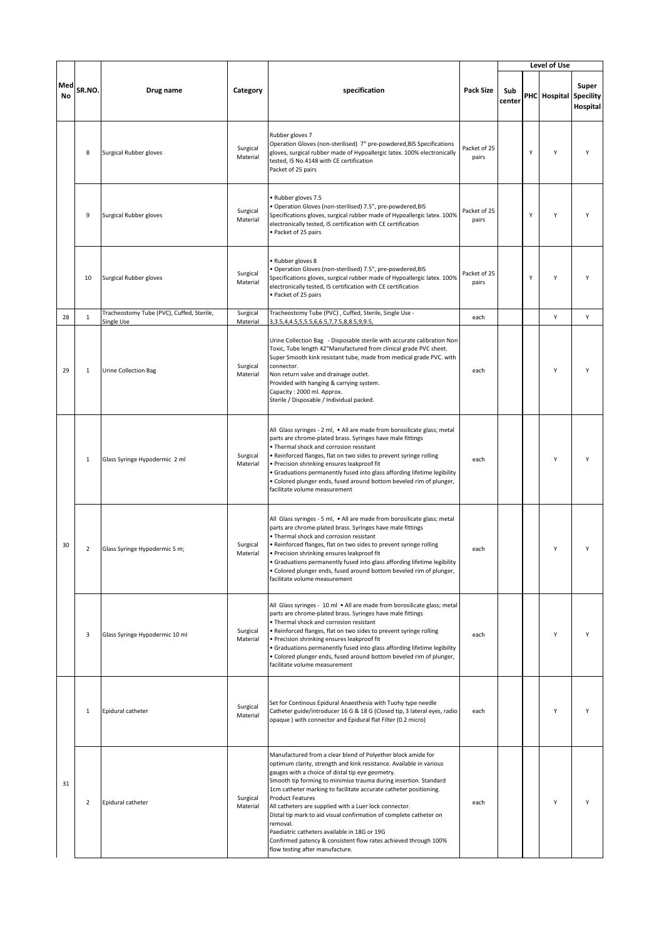|           |                |                                                         |                      |                                                                                                                                                                                                                                                                                                                                                                                                                                                                                                                                                                                                                                                               |                       |               |   | Level of Use           |                   |
|-----------|----------------|---------------------------------------------------------|----------------------|---------------------------------------------------------------------------------------------------------------------------------------------------------------------------------------------------------------------------------------------------------------------------------------------------------------------------------------------------------------------------------------------------------------------------------------------------------------------------------------------------------------------------------------------------------------------------------------------------------------------------------------------------------------|-----------------------|---------------|---|------------------------|-------------------|
| Med<br>No | SR.NO.         | Drug name                                               | Category             | specification                                                                                                                                                                                                                                                                                                                                                                                                                                                                                                                                                                                                                                                 | <b>Pack Size</b>      | Sub<br>center |   | PHC Hospital Specility | Super<br>Hospital |
|           | 8              | Surgical Rubber gloves                                  | Surgical<br>Material | Rubber gloves 7<br>Operation Gloves (non-sterilised) 7" pre-powdered, BIS Specifications<br>gloves, surgical rubber made of Hypoallergic latex. 100% electronically<br>tested, IS No.4148 with CE certification<br>Packet of 25 pairs                                                                                                                                                                                                                                                                                                                                                                                                                         | Packet of 25<br>pairs |               | Y | Υ                      | Y                 |
|           | 9              | Surgical Rubber gloves                                  | Surgical<br>Material | · Rubber gloves 7.5<br>· Operation Gloves (non-sterilised) 7.5", pre-powdered, BIS<br>Specifications gloves, surgical rubber made of Hypoallergic latex. 100%<br>electronically tested, IS certification with CE certification<br>• Packet of 25 pairs                                                                                                                                                                                                                                                                                                                                                                                                        | Packet of 25<br>pairs |               | Y | Y                      | Υ                 |
|           | 10             | Surgical Rubber gloves                                  | Surgical<br>Material | · Rubber gloves 8<br>· Operation Gloves (non-sterilised) 7.5", pre-powdered, BIS<br>Specifications gloves, surgical rubber made of Hypoallergic latex. 100%<br>electronically tested, IS certification with CE certification<br>· Packet of 25 pairs                                                                                                                                                                                                                                                                                                                                                                                                          | Packet of 25<br>pairs |               | Y | Y                      | Υ                 |
| 28        | $1\,$          | Tracheostomy Tube (PVC), Cuffed, Sterile,<br>Single Use | Surgical<br>Material | Tracheostomy Tube (PVC), Cuffed, Sterile, Single Use -<br>3, 3.5, 4, 4.5, 5, 5.5, 6, 6.5, 7, 7.5, 8, 8.5, 9, 9.5,                                                                                                                                                                                                                                                                                                                                                                                                                                                                                                                                             | each                  |               |   | Υ                      | Υ                 |
| 29        | $\mathbf{1}$   | Urine Collection Bag                                    | Surgical<br>Material | Urine Collection Bag - Disposable sterile with accurate calibration Non<br>Toxic, Tube length 42"Manufactured from clinical grade PVC sheet.<br>Super Smooth kink resistant tube, made from medical grade PVC. with<br>connector.<br>Non return valve and drainage outlet.<br>Provided with hanging & carrying system.<br>Capacity: 2000 ml. Approx.<br>Sterile / Disposable / Individual packed.                                                                                                                                                                                                                                                             | each                  |               |   | Y                      | Υ                 |
|           | $\mathbf{1}$   | Glass Syringe Hypodermic 2 ml                           | Surgical<br>Material | All Glass syringes - 2 ml, . All are made from borosilicate glass; metal<br>parts are chrome-plated brass. Syringes have male fittings<br>. Thermal shock and corrosion resistant<br>. Reinforced flanges, flat on two sides to prevent syringe rolling<br>· Precision shrinking ensures leakproof fit<br>· Graduations permanently fused into glass affording lifetime legibility<br>· Colored plunger ends, fused around bottom beveled rim of plunger,<br>facilitate volume measurement                                                                                                                                                                    | each                  |               |   | Υ                      | Υ                 |
| 30        | $\overline{2}$ | Glass Syringe Hypodermic 5 m;                           | Surgical<br>Material | All Glass syringes - 5 ml, . All are made from borosilicate glass; metal<br>parts are chrome-plated brass. Syringes have male fittings<br>. Thermal shock and corrosion resistant<br>. Reinforced flanges, flat on two sides to prevent syringe rolling<br>• Precision shrinking ensures leakproof fit<br>• Graduations permanently fused into glass affording lifetime legibility<br>. Colored plunger ends, fused around bottom beveled rim of plunger,<br>facilitate volume measurement                                                                                                                                                                    | each                  |               |   | Υ                      | Υ                 |
|           | 3              | Glass Syringe Hypodermic 10 ml                          | Surgical<br>Material | All Glass syringes - 10 ml . All are made from borosilicate glass; metal<br>parts are chrome-plated brass. Syringes have male fittings<br>. Thermal shock and corrosion resistant<br>. Reinforced flanges, flat on two sides to prevent syringe rolling<br>· Precision shrinking ensures leakproof fit<br>• Graduations permanently fused into glass affording lifetime legibility<br>· Colored plunger ends, fused around bottom beveled rim of plunger,<br>facilitate volume measurement                                                                                                                                                                    | each                  |               |   | Y                      | Υ                 |
|           | $\mathbf{1}$   | Epidural catheter                                       | Surgical<br>Material | Set for Continous Epidural Anaesthesia with Tuohy type needle<br>Catheter guide/introducer 16 G & 18 G (Closed tip, 3 lateral eyes, radio<br>opaque) with connector and Epidural flat Filter (0.2 micro)                                                                                                                                                                                                                                                                                                                                                                                                                                                      | each                  |               |   | Υ                      | Υ                 |
| 31        | $\overline{2}$ | Epidural catheter                                       | Surgical<br>Material | Manufactured from a clear blend of Polyether block amide for<br>optimum clarity, strength and kink resistance. Available in various<br>gauges with a choice of distal tip eye geometry.<br>Smooth tip forming to minimise trauma during insertion. Standard<br>1cm catheter marking to facilitate accurate catheter positioning.<br><b>Product Features</b><br>All catheters are supplied with a Luer lock connector.<br>Distal tip mark to aid visual confirmation of complete catheter on<br>removal.<br>Paediatric catheters available in 18G or 19G<br>Confirmed patency & consistent flow rates achieved through 100%<br>flow testing after manufacture. | each                  |               |   | Υ                      | Υ                 |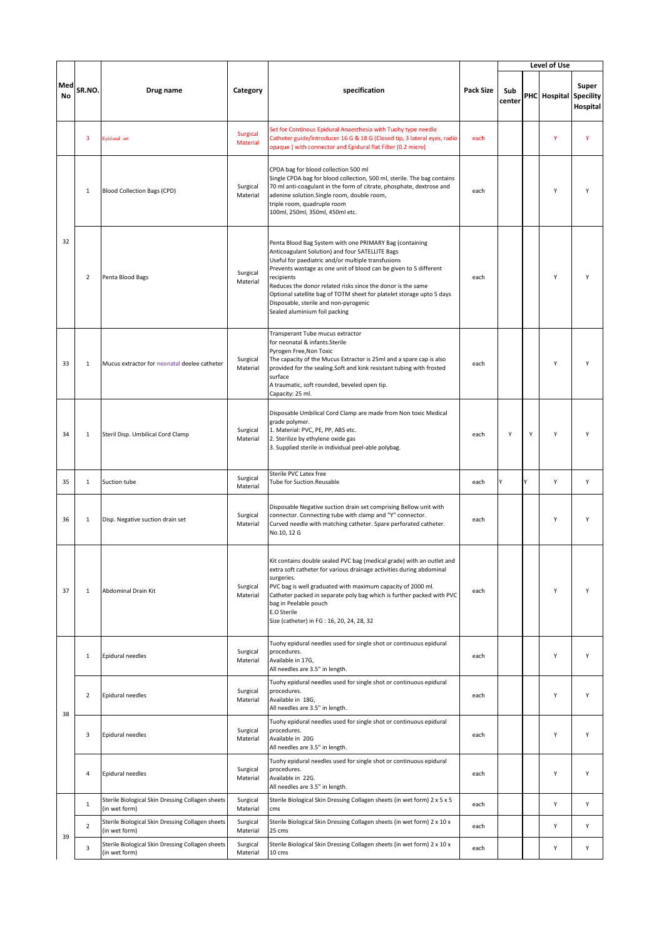|           |                |                                                                   |                      |                                                                                                                                                                                                                                                                                                                                                                                                                                                                       |           |               |   | Level of Use           |                   |
|-----------|----------------|-------------------------------------------------------------------|----------------------|-----------------------------------------------------------------------------------------------------------------------------------------------------------------------------------------------------------------------------------------------------------------------------------------------------------------------------------------------------------------------------------------------------------------------------------------------------------------------|-----------|---------------|---|------------------------|-------------------|
| Med<br>No | SR.NO.         | Drug name                                                         | Category             | specification                                                                                                                                                                                                                                                                                                                                                                                                                                                         | Pack Size | Sub<br>center |   | PHC Hospital Specility | Super<br>Hospital |
|           | 3              | Epidural set                                                      | Surgical<br>Material | Set for Continous Epidural Anaesthesia with Tuohy type needle<br>Catheter guide/introducer 16 G & 18 G (Closed tip, 3 lateral eyes, radio<br>opaque) with connector and Epidural flat Filter (0.2 micro)                                                                                                                                                                                                                                                              | each      |               |   | Y                      | Y                 |
|           | $\mathbf{1}$   | <b>Blood Collection Bags (CPD)</b>                                | Surgical<br>Material | CPDA bag for blood collection 500 ml<br>Single CPDA bag for blood collection, 500 ml, sterile. The bag contains<br>70 ml anti-coagulant in the form of citrate, phosphate, dextrose and<br>adenine solution.Single room, double room,<br>triple room, quadruple room<br>100ml, 250ml, 350ml, 450ml etc.                                                                                                                                                               | each      |               |   | Y                      | Υ                 |
| 32        | $\overline{2}$ | Penta Blood Bags                                                  | Surgical<br>Material | Penta Blood Bag System with one PRIMARY Bag (containing<br>Anticoagulant Solution) and four SATELLITE Bags<br>Useful for paediatric and/or multiple transfusions<br>Prevents wastage as one unit of blood can be given to 5 different<br>recipients<br>Reduces the donor related risks since the donor is the same<br>Optional satellite bag of TOTM sheet for platelet storage upto 5 days<br>Disposable, sterile and non-pyrogenic<br>Sealed aluminium foil packing | each      |               |   | Y                      | Υ                 |
| 33        | $1\,$          | Mucus extractor for neonatal deelee catheter                      | Surgical<br>Material | Transperant Tube mucus extractor<br>for neonatal & infants.Sterile<br>Pyrogen Free, Non Toxic<br>The capacity of the Mucus Extractor is 25ml and a spare cap is also<br>provided for the sealing.Soft and kink resistant tubing with frosted<br>surface<br>A traumatic, soft rounded, beveled open tip.<br>Capacity: 25 ml.                                                                                                                                           | each      |               |   | Y                      | Υ                 |
| 34        | $\mathbf{1}$   | Steril Disp. Umbilical Cord Clamp                                 | Surgical<br>Material | Disposable Umbilical Cord Clamp are made from Non toxic Medical<br>grade polymer.<br>1. Material: PVC, PE, PP, ABS etc.<br>2. Sterilize by ethylene oxide gas<br>3. Supplied sterile in individual peel-able polybag.                                                                                                                                                                                                                                                 | each      | Y             | Υ | Y                      | Υ                 |
| 35        | $\mathbf{1}$   | Suction tube                                                      | Surgical<br>Material | Sterile PVC Latex free<br>Tube for Suction.Reusable                                                                                                                                                                                                                                                                                                                                                                                                                   | each      | ٧             | v | Υ                      | Y                 |
| 36        | $\mathbf{1}$   | Disp. Negative suction drain set                                  | Surgical<br>Material | Disposable Negative suction drain set comprising Bellow unit with<br>connector. Connecting tube with clamp and "Y" connector.<br>Curved needle with matching catheter. Spare perforated catheter.<br>No.10, 12 G                                                                                                                                                                                                                                                      | each      |               |   | Υ                      | Y                 |
| 37        | $\,1\,$        | Abdominal Drain Kit                                               | Surgical<br>Material | Kit contains double sealed PVC bag (medical grade) with an outlet and<br>extra soft catheter for various drainage activities during abdominal<br>surgeries.<br>PVC bag is well graduated with maximum capacity of 2000 ml.<br>Catheter packed in separate poly bag which is further packed with PVC<br>bag in Peelable pouch<br>E.O Sterile<br>Size (catheter) in FG : 16, 20, 24, 28, 32                                                                             | each      |               |   | Υ                      | Υ                 |
|           | $\mathbf{1}$   | Epidural needles                                                  | Surgical<br>Material | Tuohy epidural needles used for single shot or continuous epidural<br>procedures.<br>Available in 17G,<br>All needles are 3.5" in length.                                                                                                                                                                                                                                                                                                                             | each      |               |   | Υ                      | Υ                 |
|           | 2              | Epidural needles                                                  | Surgical<br>Material | Tuohy epidural needles used for single shot or continuous epidural<br>procedures.<br>Available in 18G,<br>All needles are 3.5" in length.                                                                                                                                                                                                                                                                                                                             | each      |               |   | Υ                      | Υ                 |
| 38        | 3              | <b>Epidural needles</b>                                           | Surgical<br>Material | Tuohy epidural needles used for single shot or continuous epidural<br>procedures.<br>Available in 20G<br>All needles are 3.5" in length.                                                                                                                                                                                                                                                                                                                              | each      |               |   | Υ                      | Υ                 |
|           | 4              | Epidural needles                                                  | Surgical<br>Material | Tuohy epidural needles used for single shot or continuous epidural<br>procedures.<br>Available in 22G.<br>All needles are 3.5" in length.                                                                                                                                                                                                                                                                                                                             | each      |               |   | Υ                      | Υ                 |
|           | $\mathbf{1}$   | Sterile Biological Skin Dressing Collagen sheets<br>(in wet form) | Surgical<br>Material | Sterile Biological Skin Dressing Collagen sheets (in wet form) 2 x 5 x 5<br>cms                                                                                                                                                                                                                                                                                                                                                                                       | each      |               |   | Υ                      | Υ                 |
| 39        | $\overline{2}$ | Sterile Biological Skin Dressing Collagen sheets<br>(in wet form) | Surgical<br>Material | Sterile Biological Skin Dressing Collagen sheets (in wet form) 2 x 10 x<br>25 cms                                                                                                                                                                                                                                                                                                                                                                                     | each      |               |   | Υ                      | Υ                 |
|           | 3              | Sterile Biological Skin Dressing Collagen sheets<br>(in wet form) | Surgical<br>Material | Sterile Biological Skin Dressing Collagen sheets (in wet form) 2 x 10 x<br>10 cms                                                                                                                                                                                                                                                                                                                                                                                     | each      |               |   | Υ                      | Υ                 |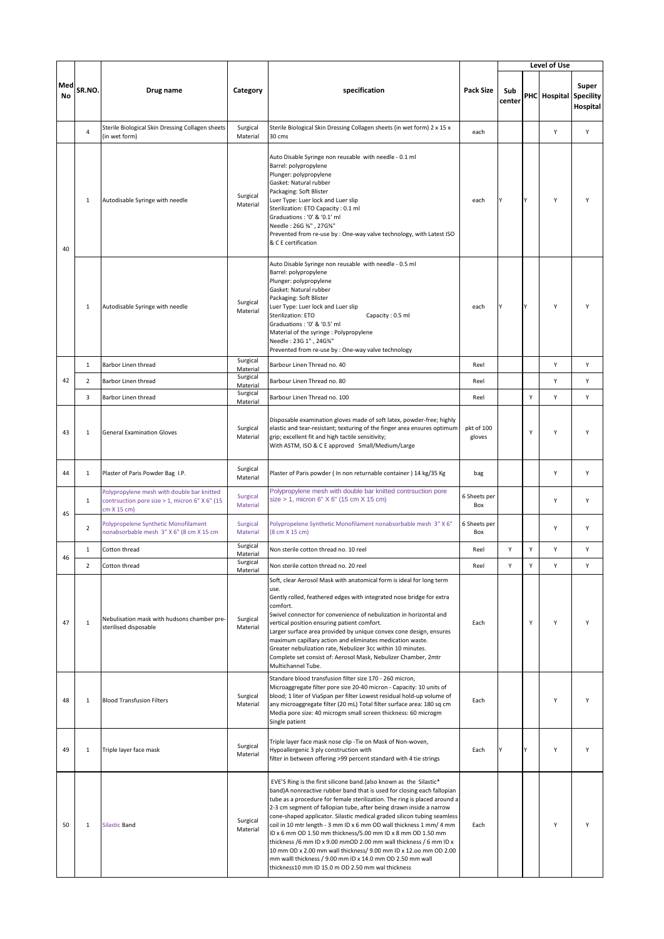|           |                |                                                                                                            |                      |                                                                                                                                                                                                                                                                                                                                                                                                                                                                                                                                                                                                                                                                                                                                                                              |                      |               |   | Level of Use           |                   |
|-----------|----------------|------------------------------------------------------------------------------------------------------------|----------------------|------------------------------------------------------------------------------------------------------------------------------------------------------------------------------------------------------------------------------------------------------------------------------------------------------------------------------------------------------------------------------------------------------------------------------------------------------------------------------------------------------------------------------------------------------------------------------------------------------------------------------------------------------------------------------------------------------------------------------------------------------------------------------|----------------------|---------------|---|------------------------|-------------------|
| Med<br>No | SR.NO.         | Drug name                                                                                                  | Category             | specification                                                                                                                                                                                                                                                                                                                                                                                                                                                                                                                                                                                                                                                                                                                                                                | <b>Pack Size</b>     | Sub<br>center |   | PHC Hospital Specility | Super<br>Hospital |
|           | $\overline{4}$ | Sterile Biological Skin Dressing Collagen sheets<br>(in wet form)                                          | Surgical<br>Material | Sterile Biological Skin Dressing Collagen sheets (in wet form) 2 x 15 x<br>30 cms                                                                                                                                                                                                                                                                                                                                                                                                                                                                                                                                                                                                                                                                                            | each                 |               |   | Y                      | Y                 |
| 40        | $\mathbf{1}$   | Autodisable Syringe with needle                                                                            | Surgical<br>Material | Auto Disable Syringe non reusable with needle - 0.1 ml<br>Barrel: polypropylene<br>Plunger: polypropylene<br>Gasket: Natural rubber<br>Packaging: Soft Blister<br>Luer Type: Luer lock and Luer slip<br>Sterilization: ETO Capacity: 0.1 ml<br>Graduations: '0' & '0.1' ml<br>Needle: 26G %", 27G%"<br>Prevented from re-use by : One-way valve technology, with Latest ISO<br>& C E certification                                                                                                                                                                                                                                                                                                                                                                           | each                 |               | Υ | Υ                      | Υ                 |
|           | 1              | Autodisable Syringe with needle                                                                            | Surgical<br>Material | Auto Disable Syringe non reusable with needle - 0.5 ml<br>Barrel: polypropylene<br>Plunger: polypropylene<br>Gasket: Natural rubber<br>Packaging: Soft Blister<br>Luer Type: Luer lock and Luer slip<br>Sterilization: ETO<br>Capacity: 0.5 ml<br>Graduations: '0' & '0.5' ml<br>Material of the syringe : Polypropylene<br>Needle: 23G 1", 24G%"<br>Prevented from re-use by : One-way valve technology                                                                                                                                                                                                                                                                                                                                                                     | each                 | <b>Y</b>      | Y | Υ                      | Υ                 |
|           | $\mathbf{1}$   | Barbor Linen thread                                                                                        | Surgical<br>Material | Barbour Linen Thread no. 40                                                                                                                                                                                                                                                                                                                                                                                                                                                                                                                                                                                                                                                                                                                                                  | Reel                 |               |   | Υ                      | Υ                 |
| 42        | $\overline{2}$ | Barbor Linen thread                                                                                        | Surgical<br>Material | Barbour Linen Thread no. 80                                                                                                                                                                                                                                                                                                                                                                                                                                                                                                                                                                                                                                                                                                                                                  | Reel                 |               |   | Y                      | Y                 |
|           | 3              | Barbor Linen thread                                                                                        | Surgical<br>Material | Barbour Linen Thread no. 100                                                                                                                                                                                                                                                                                                                                                                                                                                                                                                                                                                                                                                                                                                                                                 | Reel                 |               | Υ | Υ                      | Υ                 |
| 43        | $\mathbf 1$    | <b>General Examination Gloves</b>                                                                          | Surgical<br>Material | Disposable examination gloves made of soft latex, powder-free; highly<br>elastic and tear-resistant; texturing of the finger area ensures optimum<br>grip; excellent fit and high tactile sensitivity;<br>With ASTM, ISO & C E approved Small/Medium/Large                                                                                                                                                                                                                                                                                                                                                                                                                                                                                                                   | pkt of 100<br>gloves |               | Y | Υ                      | Y                 |
| 44        | $\mathbf{1}$   | Plaster of Paris Powder Bag I.P.                                                                           | Surgical<br>Material | Plaster of Paris powder ( In non returnable container ) 14 kg/35 Kg                                                                                                                                                                                                                                                                                                                                                                                                                                                                                                                                                                                                                                                                                                          | bag                  |               |   | Y                      | Υ                 |
| 45        | $\mathbf{1}$   | Polypropylene mesh with double bar knitted<br>contrsuction pore size > 1, micron 6" X 6" (15<br>cm X 15 cm | Surgical<br>Material | Polypropylene mesh with double bar knitted contrsuction pore<br>$size > 1$ , micron 6" $X$ 6" (15 cm $X$ 15 cm)                                                                                                                                                                                                                                                                                                                                                                                                                                                                                                                                                                                                                                                              | 6 Sheets per<br>Box  |               |   | Y                      | Υ                 |
|           | $\overline{2}$ | Polypropelene Synthetic Monofilament<br>nonabsorbable mesh 3" X 6" (8 cm X 15 cm                           | Surgical<br>Material | Polypropelene Synthetic Monofilament nonabsorbable mesh 3" X 6"<br>(8 cm X 15 cm)                                                                                                                                                                                                                                                                                                                                                                                                                                                                                                                                                                                                                                                                                            | 6 Sheets per<br>Box  |               |   | Υ                      | Υ                 |
| 46        | $\mathbf{1}$   | Cotton thread                                                                                              | Surgical<br>Material | Non sterile cotton thread no. 10 reel                                                                                                                                                                                                                                                                                                                                                                                                                                                                                                                                                                                                                                                                                                                                        | Reel                 | Y             | Y | Y                      | Υ                 |
|           | $\overline{2}$ | Cotton thread                                                                                              | Surgical<br>Material | Non sterile cotton thread no. 20 reel                                                                                                                                                                                                                                                                                                                                                                                                                                                                                                                                                                                                                                                                                                                                        | Reel                 | Υ             | Υ | Υ                      | Y                 |
| 47        | $\,1\,$        | Nebulisation mask with hudsons chamber pre-<br>sterilised disposable                                       | Surgical<br>Material | Soft, clear Aerosol Mask with anatomical form is ideal for long term<br>use.<br>Gently rolled, feathered edges with integrated nose bridge for extra<br>comfort.<br>Swivel connector for convenience of nebulization in horizontal and<br>vertical position ensuring patient comfort.<br>Larger surface area provided by unique convex cone design, ensures<br>maximum capillary action and eliminates medication waste.<br>Greater nebulization rate, Nebulizer 3cc within 10 minutes.<br>Complete set consist of: Aerosol Mask, Nebulizer Chamber, 2mtr<br>Multichannel Tube.                                                                                                                                                                                              | Each                 |               | Υ | Y                      | Y                 |
| 48        | $\mathbf{1}$   | <b>Blood Transfusion Filters</b>                                                                           | Surgical<br>Material | Standare blood transfusion filter size 170 - 260 micron,<br>Microaggregate filter pore size 20-40 micron - Capacity: 10 units of<br>blood; 1 liter of ViaSpan per filter Lowest residual hold-up volume of<br>any microaggregate filter (20 mL) Total filter surface area: 180 sq cm<br>Media pore size: 40 microgm small screen thickness: 60 microgm<br>Single patient                                                                                                                                                                                                                                                                                                                                                                                                     | Each                 |               |   | Y                      | Υ                 |
| 49        | $\mathbf{1}$   | Triple layer face mask                                                                                     | Surgical<br>Material | Triple layer face mask nose clip - Tie on Mask of Non-woven,<br>Hypoallergenic 3 ply construction with<br>filter in between offering >99 percent standard with 4 tie strings                                                                                                                                                                                                                                                                                                                                                                                                                                                                                                                                                                                                 | Each                 |               | ٧ | Υ                      | Υ                 |
| 50        | $\mathbf{1}$   | <b>Silastic Band</b>                                                                                       | Surgical<br>Material | EVE'S Ring is the first silicone band.(also known as the Silastic*<br>band)A nonreactive rubber band that is used for closing each fallopian<br>tube as a procedure for female sterilization. The ring is placed around a<br>2-3 cm segment of fallopian tube, after being drawn inside a narrow<br>cone-shaped applicator. Silastic medical graded silicon tubing seamless<br>coil in 10 mtr length - 3 mm ID x 6 mm OD wall thickness 1 mm/ 4 mm<br>ID x 6 mm OD 1.50 mm thickness/5.00 mm ID x 8 mm OD 1.50 mm<br>thickness /6 mm ID x 9.00 mmOD 2.00 mm wall thickness / 6 mm ID x<br>10 mm OD x 2.00 mm wall thickness/ 9.00 mm ID x 12.00 mm OD 2.00<br>mm walll thickness / 9.00 mm ID x 14.0 mm OD 2.50 mm wall<br>thickness10 mm ID 15.0 m OD 2.50 mm wal thickness | Each                 |               |   | Y                      | Y                 |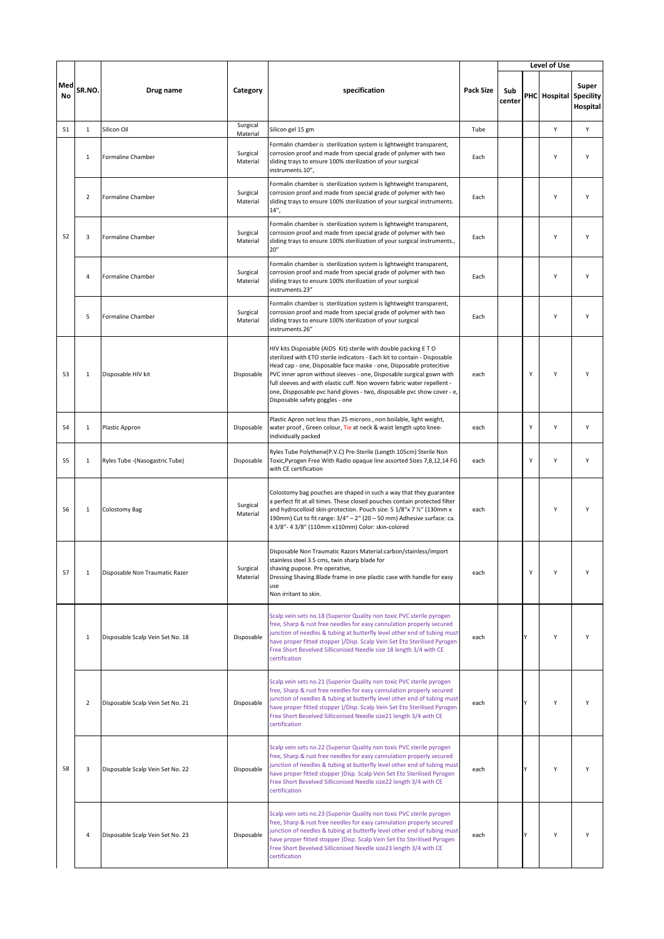|           |                |                                  |                      |                                                                                                                                                                                                                                                                                                                                                                                                                                                                                    |                  |               |   | Level of Use           |                   |
|-----------|----------------|----------------------------------|----------------------|------------------------------------------------------------------------------------------------------------------------------------------------------------------------------------------------------------------------------------------------------------------------------------------------------------------------------------------------------------------------------------------------------------------------------------------------------------------------------------|------------------|---------------|---|------------------------|-------------------|
| Med<br>No | SR.NO.         | Drug name                        | Category             | specification                                                                                                                                                                                                                                                                                                                                                                                                                                                                      | <b>Pack Size</b> | Sub<br>center |   | PHC Hospital Specility | Super<br>Hospital |
| 51        | $1\,$          | Silicon Oil                      | Surgical<br>Material | Silicon gel 15 gm                                                                                                                                                                                                                                                                                                                                                                                                                                                                  | Tube             |               |   | Υ                      | Υ                 |
|           | $\mathbf{1}$   | Formaline Chamber                | Surgical<br>Material | Formalin chamber is sterilization system is lightweight transparent,<br>corrosion proof and made from special grade of polymer with two<br>sliding trays to ensure 100% sterilization of your surgical<br>instruments.10",                                                                                                                                                                                                                                                         | Each             |               |   | Υ                      | Υ                 |
|           | 2              | Formaline Chamber                | Surgical<br>Material | Formalin chamber is sterilization system is lightweight transparent,<br>corrosion proof and made from special grade of polymer with two<br>sliding trays to ensure 100% sterilization of your surgical instruments.<br>$14''$ ,                                                                                                                                                                                                                                                    | Each             |               |   | Y                      | Y                 |
| 52        | 3              | Formaline Chamber                | Surgical<br>Material | Formalin chamber is sterilization system is lightweight transparent,<br>corrosion proof and made from special grade of polymer with two<br>sliding trays to ensure 100% sterilization of your surgical instruments.,<br>20''                                                                                                                                                                                                                                                       | Each             |               |   | Υ                      | Υ                 |
|           | 4              | Formaline Chamber                | Surgical<br>Material | Formalin chamber is sterilization system is lightweight transparent,<br>corrosion proof and made from special grade of polymer with two<br>sliding trays to ensure 100% sterilization of your surgical<br>instruments.23"                                                                                                                                                                                                                                                          | Each             |               |   | Υ                      | Υ                 |
|           | 5              | Formaline Chamber                | Surgical<br>Material | Formalin chamber is sterilization system is lightweight transparent,<br>corrosion proof and made from special grade of polymer with two<br>sliding trays to ensure 100% sterilization of your surgical<br>instruments.26"                                                                                                                                                                                                                                                          | Each             |               |   | Υ                      | Υ                 |
| 53        | $\mathbf{1}$   | Disposable HIV kit               | Disposable           | HIV kits Disposable (AIDS Kit) sterile with double packing ETO<br>sterilized with ETO sterile indicators - Each kit to contain - Disposable<br>Head cap - one, Disposable face maske - one, Disposable protecitive<br>PVC inner apron without sleeves - one, Disposable surgical gown with<br>full sleeves and with elastic cuff. Non wovern fabric water repellent -<br>one, Dispposable pvc hand gloves - two, disposable pvc show cover - e,<br>Disposable safety goggles - one | each             |               | Y | Y                      | Υ                 |
| 54        | $\mathbf{1}$   | Plastic Appron                   | Disposable           | Plastic Apron not less than 25 microns, non boilable, light weight,<br>water proof, Green colour, Tie at neck & waist length upto knee-<br>Individually packed                                                                                                                                                                                                                                                                                                                     | each             |               | Y | Y                      | Υ                 |
| 55        | $\mathbf 1$    | Ryles Tube - (Nasogastric Tube)  | Disposable           | Ryles Tube Polythene(P.V.C) Pre-Sterile (Length 105cm) Sterile Non<br>Toxic, Pyrogen Free With Radio opaque line assorted Sizes 7,8,12,14 FG<br>with CE certification                                                                                                                                                                                                                                                                                                              | each             |               | Υ | Υ                      | Υ                 |
| 56        | $\mathbf{1}$   | <b>Colostomy Bag</b>             | Surgical<br>Material | Colostomy bag pouches are shaped in such a way that they guarantee<br>a perfect fit at all times. These closed pouches contain protected filter<br>and hydrocolloid skin-protection. Pouch size: 5 1/8"x 7 1/2" (130mm x<br>190mm) Cut to fit range: 3/4" - 2" (20 - 50 mm) Adhesive surface: ca.<br>4 3/8"- 4 3/8" (110mm x110mm) Color: skin-colored                                                                                                                             | each             |               |   | Υ                      | Υ                 |
| 57        | $\mathbf{1}$   | Disposable Non Traumatic Razer   | Surgical<br>Material | Disposable Non Traumatic Razors Material:carbon/stainless/import<br>stainless steel 3.5 cms, twin sharp blade for<br>shaving pupose. Pre operative,<br>Dressing Shaving. Blade frame in one plastic case with handle for easy<br>use<br>Non irritant to skin.                                                                                                                                                                                                                      | each             |               | Υ |                        | Υ                 |
|           | $\mathbf{1}$   | Disposable Scalp Vein Set No. 18 | Disposable           | Scalp vein sets no.18 (Superior Quality non toxic PVC sterile pyrogen<br>free, Sharp & rust free needles for easy cannulation properly secured<br>junction of needles & tubing at butterfly level other end of tubing must<br>have proper fitted stopper )/Disp. Scalp Vein Set Eto Sterilised Pyrogen<br>Free Short Bevelved Silliconised Needle size 18 length 3/4 with CE<br>certification                                                                                      | each             |               | Υ | Y                      | Υ                 |
|           | $\overline{2}$ | Disposable Scalp Vein Set No. 21 | Disposable           | Scalp vein sets no.21 (Superior Quality non toxic PVC sterile pyrogen<br>free, Sharp & rust free needles for easy cannulation properly secured<br>junction of needles & tubing at butterfly level other end of tubing must<br>have proper fitted stopper )/Disp. Scalp Vein Set Eto Sterilised Pyrogen<br>Free Short Bevelved Silliconised Needle size21 length 3/4 with CE<br>certification                                                                                       | each             |               | ٧ | Y                      | Υ                 |
| 58        | 3              | Disposable Scalp Vein Set No. 22 | Disposable           | Scalp vein sets no.22 (Superior Quality non toxic PVC sterile pyrogen<br>free, Sharp & rust free needles for easy cannulation properly secured<br>junction of needles & tubing at butterfly level other end of tubing must<br>have proper fitted stopper )Disp. Scalp Vein Set Eto Sterilised Pyrogen<br>Free Short Bevelved Silliconised Needle size22 length 3/4 with CE<br>certification                                                                                        | each             |               |   | Υ                      | Υ                 |
|           | 4              | Disposable Scalp Vein Set No. 23 | Disposable           | Scalp vein sets no.23 (Superior Quality non toxic PVC sterile pyrogen<br>free, Sharp & rust free needles for easy cannulation properly secured<br>junction of needles & tubing at butterfly level other end of tubing must<br>have proper fitted stopper )Disp. Scalp Vein Set Eto Sterilised Pyrogen<br>Free Short Bevelved Silliconised Needle size23 length 3/4 with CE<br>certification                                                                                        | each             |               | Y | Υ                      | Y                 |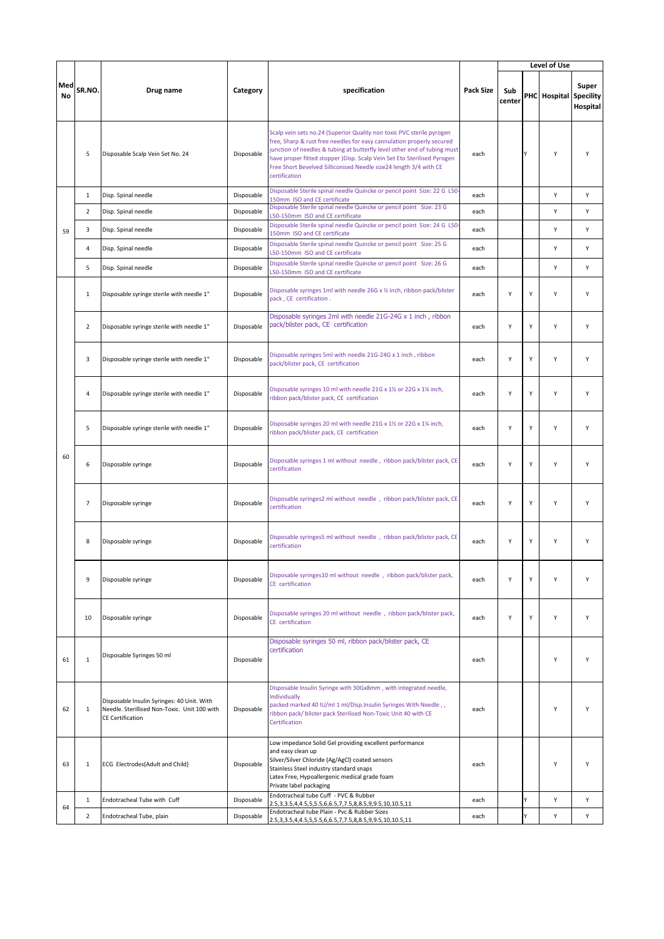|           |                |                                                                                                                       |            |                                                                                                                                                                                                                                                                                                                                                                                              |                  |               |   | Level of Use           |                   |
|-----------|----------------|-----------------------------------------------------------------------------------------------------------------------|------------|----------------------------------------------------------------------------------------------------------------------------------------------------------------------------------------------------------------------------------------------------------------------------------------------------------------------------------------------------------------------------------------------|------------------|---------------|---|------------------------|-------------------|
| Med<br>No | SR.NO.         | Drug name                                                                                                             | Category   | specification                                                                                                                                                                                                                                                                                                                                                                                | <b>Pack Size</b> | Sub<br>center |   | PHC Hospital Specility | Super<br>Hospital |
|           | 5              | Disposable Scalp Vein Set No. 24                                                                                      | Disposable | Scalp vein sets no.24 (Superior Quality non toxic PVC sterile pyrogen<br>free, Sharp & rust free needles for easy cannulation properly secured<br>junction of needles & tubing at butterfly level other end of tubing must<br>have proper fitted stopper ) Disp. Scalp Vein Set Eto Sterilised Pyrogen<br>Free Short Bevelved Silliconised Needle size24 length 3/4 with CE<br>certification | each             |               | Υ | Y                      | Y                 |
|           | $\mathbf{1}$   | Disp. Spinal needle                                                                                                   | Disposable | Disposable Sterile spinal needle Quincke or pencil point Size: 22 G L50<br>150mm ISO and CE certificate                                                                                                                                                                                                                                                                                      | each             |               |   | Y                      | Y                 |
|           | $\overline{2}$ | Disp. Spinal needle                                                                                                   | Disposable | Disposable Sterile spinal needle Quincke or pencil point Size: 23 G<br>L50-150mm ISO and CE certificate                                                                                                                                                                                                                                                                                      | each             |               |   | Υ                      | Υ                 |
| 59        | 3              | Disp. Spinal needle                                                                                                   | Disposable | Disposable Sterile spinal needle Quincke or pencil point Size: 24 G L50<br>150mm ISO and CE certificate                                                                                                                                                                                                                                                                                      | each             |               |   | Y                      | Υ                 |
|           | 4              | Disp. Spinal needle                                                                                                   | Disposable | Disposable Sterile spinal needle Quincke or pencil point Size: 25 G<br>L50-150mm ISO and CE certificate                                                                                                                                                                                                                                                                                      | each             |               |   | Y                      | Y                 |
|           | 5              | Disp. Spinal needle                                                                                                   | Disposable | Disposable Sterile spinal needle Quincke or pencil point Size: 26 G<br>L50-150mm ISO and CE certificate                                                                                                                                                                                                                                                                                      | each             |               |   | Y                      | Y                 |
|           | $\mathbf{1}$   | Disposable syringe sterile with needle 1"                                                                             | Disposable | Disposable syringes 1ml with needle 26G x 1/2 inch, ribbon pack/blister<br>pack, CE certification.                                                                                                                                                                                                                                                                                           | each             | Y             | Y | Y                      | Y                 |
|           | $\overline{2}$ | Disposable syringe sterile with needle 1"                                                                             | Disposable | Disposable syringes 2ml with needle 21G-24G x 1 inch, ribbon<br>pack/blister pack, CE certification                                                                                                                                                                                                                                                                                          | each             | Υ             | Y | Υ                      | Υ                 |
|           | 3              | Disposable syringe sterile with needle 1"                                                                             | Disposable | Disposable syringes 5ml with needle 21G-24G x 1 inch, ribbon<br>pack/blister pack, CE certification                                                                                                                                                                                                                                                                                          | each             | Υ             | Y | Y                      | Y                 |
|           | 4              | Disposable syringe sterile with needle 1"                                                                             | Disposable | Disposable syringes 10 ml with needle 21G x 11/2 or 22G x 11/4 inch,<br>ribbon pack/blister pack, CE certification                                                                                                                                                                                                                                                                           | each             | Υ             | Y | Υ                      | Υ                 |
|           | 5              | Disposable syringe sterile with needle 1"                                                                             | Disposable | Disposable syringes 20 ml with needle 21G x 11/2 or 22G x 11/4 inch,<br>ribbon pack/blister pack, CE certification                                                                                                                                                                                                                                                                           | each             | Y             | Y | Y                      | Y                 |
| 60        | 6              | Disposable syringe                                                                                                    | Disposable | Disposable syringes 1 ml without needle, ribbon pack/blister pack, CE<br>certification                                                                                                                                                                                                                                                                                                       | each             | Y             | Y | Y                      | Y                 |
|           | $\overline{7}$ | Disposable syringe                                                                                                    | Disposable | Disposable syringes2 ml without needle, ribbon pack/blister pack, CE<br>certification                                                                                                                                                                                                                                                                                                        | each             | Y             | Y | Y                      | Y                 |
|           | 8              | Disposable syringe                                                                                                    | Disposable | Disposable syringes5 ml without needle, ribbon pack/blister pack, CE<br>certification                                                                                                                                                                                                                                                                                                        | each             | Υ             | Y | Υ                      | Υ                 |
|           | 9              | Disposable syringe                                                                                                    | Disposable | Disposable syringes10 ml without needle, ribbon pack/blister pack,<br>CE certification                                                                                                                                                                                                                                                                                                       | each             | Υ             | Υ | Υ                      | Υ                 |
|           | 10             | Disposable syringe                                                                                                    | Disposable | Disposable syringes 20 ml without needle, ribbon pack/blister pack,<br>CE certification                                                                                                                                                                                                                                                                                                      | each             | Υ             | Y | Υ                      | Υ                 |
| 61        | $1\,$          | Disposable Syringes 50 ml                                                                                             | Disposable | Disposable syringes 50 ml, ribbon pack/blister pack, CE<br>certification                                                                                                                                                                                                                                                                                                                     | each             |               |   | Υ                      | Υ                 |
| 62        | $\mathbf{1}$   | Disposable Insulin Syringes: 40 Unit. With<br>Needle. Sterillised Non-Toxic. Unit 100 with<br><b>CE Certification</b> | Disposable | Disposable Insulin Syringe with 30Gx8mm, with integrated needle,<br>Individually<br>packed marked 40 IU/ml 1 ml/Disp.Insulin Syringes With Needle,,<br>ribbon pack/ blister pack Sterilised Non-Toxic Unit 40 with CE<br>Certification                                                                                                                                                       | each             |               |   | Y                      | Υ                 |
| 63        | $\mathbf{1}$   | ECG Electrodes(Adult and Child)                                                                                       | Disposable | Low impedance Solid Gel providing excellent performance<br>and easy clean up<br>Silver/Silver Chloride (Ag/AgCl) coated sensors<br>Stainless Steel industry standard snaps<br>Latex Free, Hypoallergenic medical grade foam<br>Private label packaging                                                                                                                                       | each             |               |   | Y                      | Y                 |
| 64        | $\mathbf{1}$   | Endotracheal Tube with Cuff                                                                                           | Disposable | Endotracheal tube Cuff - PVC & Rubber<br>2.5, 3, 3.5, 4, 4.5, 5, 5.5, 6, 6.5, 7, 7.5, 8, 8.5, 9, 9.5, 10, 10.5, 11                                                                                                                                                                                                                                                                           | each             |               | Y | Υ                      | Υ                 |
|           | $\overline{2}$ | Endotracheal Tube, plain                                                                                              | Disposable | Endotracheal tube Plain - Pvc & Rubber Sizes<br>2.5, 3, 3.5, 4, 4.5, 5, 5.5, 6, 6.5, 7, 7.5, 8, 8.5, 9, 9.5, 10, 10.5, 11                                                                                                                                                                                                                                                                    | each             |               | Υ | Υ                      | Υ                 |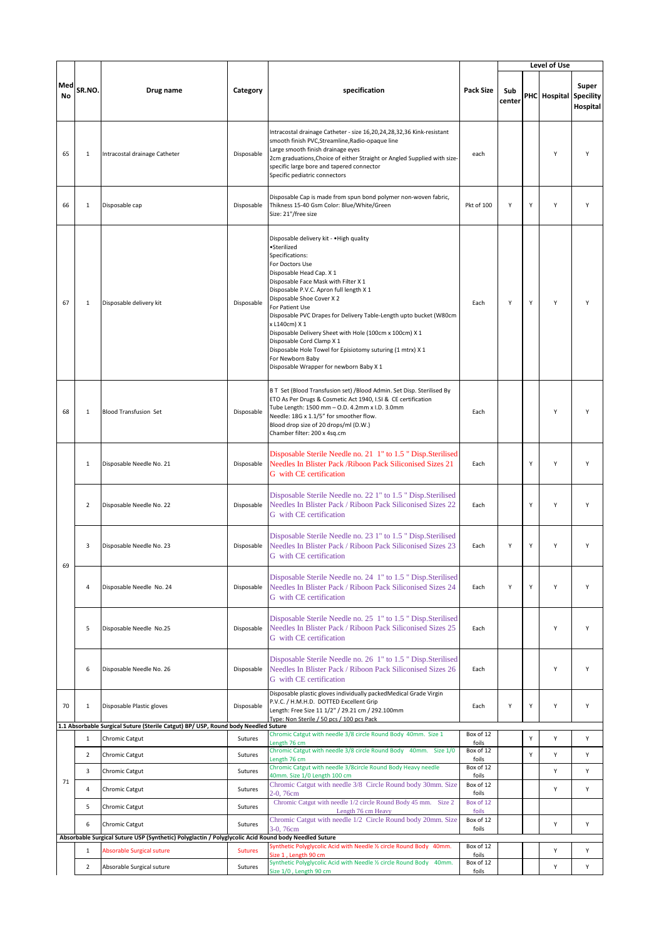|           |                |                                                                                                                 |                |                                                                                                                                                                                                                                                                                                                                                                                                                                                                                                                                                                          |                             |               |   | Level of Use           |                   |
|-----------|----------------|-----------------------------------------------------------------------------------------------------------------|----------------|--------------------------------------------------------------------------------------------------------------------------------------------------------------------------------------------------------------------------------------------------------------------------------------------------------------------------------------------------------------------------------------------------------------------------------------------------------------------------------------------------------------------------------------------------------------------------|-----------------------------|---------------|---|------------------------|-------------------|
| Med<br>No | SR.NO.         | Drug name                                                                                                       | Category       | specification                                                                                                                                                                                                                                                                                                                                                                                                                                                                                                                                                            | <b>Pack Size</b>            | Sub<br>center |   | PHC Hospital Specility | Super<br>Hospital |
| 65        | $1\,$          | Intracostal drainage Catheter                                                                                   | Disposable     | Intracostal drainage Catheter - size 16,20,24,28,32,36 Kink-resistant<br>smooth finish PVC, Streamline, Radio-opaque line<br>Large smooth finish drainage eyes<br>2cm graduations, Choice of either Straight or Angled Supplied with size-<br>specific large bore and tapered connector<br>Specific pediatric connectors                                                                                                                                                                                                                                                 | each                        |               |   | Y                      | Y                 |
| 66        | $\mathbf{1}$   | Disposable cap                                                                                                  | Disposable     | Disposable Cap is made from spun bond polymer non-woven fabric,<br>Thikness 15-40 Gsm Color: Blue/White/Green<br>Size: 21"/free size                                                                                                                                                                                                                                                                                                                                                                                                                                     | Pkt of 100                  | Υ             | Y | Y                      | Υ                 |
| 67        | $1\,$          | Disposable delivery kit                                                                                         | Disposable     | Disposable delivery kit - . High quality<br>·Sterilized<br>Specifications:<br>For Doctors Use<br>Disposable Head Cap. X 1<br>Disposable Face Mask with Filter X 1<br>Disposable P.V.C. Apron full length X 1<br>Disposable Shoe Cover X 2<br>For Patient Use<br>Disposable PVC Drapes for Delivery Table-Length upto bucket (W80cm<br>x L140cm) X 1<br>Disposable Delivery Sheet with Hole (100cm x 100cm) X 1<br>Disposable Cord Clamp X 1<br>Disposable Hole Towel for Episiotomy suturing (1 mtrx) X 1<br>For Newborn Baby<br>Disposable Wrapper for newborn Baby X 1 | Each                        | Υ             | Y | Y                      | Y                 |
| 68        | $\mathbf{1}$   | <b>Blood Transfusion Set</b>                                                                                    | Disposable     | B T Set (Blood Transfusion set) /Blood Admin. Set Disp. Sterilised By<br>ETO As Per Drugs & Cosmetic Act 1940, I.SI & CE certification<br>Tube Length: 1500 mm - O.D. 4.2mm x I.D. 3.0mm<br>Needle: 18G x 1.1/5" for smoother flow.<br>Blood drop size of 20 drops/ml (D.W.)<br>Chamber filter: 200 x 4sq.cm                                                                                                                                                                                                                                                             | Each                        |               |   | Y                      | Y                 |
|           | $\mathbf{1}$   | Disposable Needle No. 21                                                                                        | Disposable     | Disposable Sterile Needle no. 21 1" to 1.5 " Disp. Sterilised<br>Needles In Blister Pack / Riboon Pack Siliconised Sizes 21<br>G with CE certification                                                                                                                                                                                                                                                                                                                                                                                                                   | Each                        |               | Y | Y                      | Y                 |
|           | $\overline{2}$ | Disposable Needle No. 22                                                                                        | Disposable     | Disposable Sterile Needle no. 22 1" to 1.5 " Disp.Sterilised<br>Needles In Blister Pack / Riboon Pack Siliconised Sizes 22<br>G with CE certification                                                                                                                                                                                                                                                                                                                                                                                                                    | Each                        |               | Y | Y                      | Y                 |
| 69        | 3              | Disposable Needle No. 23                                                                                        | Disposable     | Disposable Sterile Needle no. 23 1" to 1.5 " Disp.Sterilised<br>Needles In Blister Pack / Riboon Pack Siliconised Sizes 23<br>G with CE certification                                                                                                                                                                                                                                                                                                                                                                                                                    | Each                        | Υ             | Υ | Υ                      | Y                 |
|           | 4              | Disposable Needle No. 24                                                                                        | Disposable     | Disposable Sterile Needle no. 24 1" to 1.5 " Disp.Sterilised<br>Needles In Blister Pack / Riboon Pack Siliconised Sizes 24<br>G with CE certification                                                                                                                                                                                                                                                                                                                                                                                                                    | Each                        | Υ             | Υ | Y                      | Υ                 |
|           | 5              | Disposable Needle No.25                                                                                         | Disposable     | Disposable Sterile Needle no. 25 1" to 1.5 " Disp.Sterilised<br>Needles In Blister Pack / Riboon Pack Siliconised Sizes 25<br>G with CE certification                                                                                                                                                                                                                                                                                                                                                                                                                    | Each                        |               |   | Υ                      | Υ                 |
|           | 6              | Disposable Needle No. 26                                                                                        | Disposable     | Disposable Sterile Needle no. 26 1" to 1.5 " Disp.Sterilised<br>Needles In Blister Pack / Riboon Pack Siliconised Sizes 26<br>G with CE certification                                                                                                                                                                                                                                                                                                                                                                                                                    | Each                        |               |   | Υ                      | Υ                 |
| 70        | $\mathbf{1}$   | Disposable Plastic gloves<br>1.1 Absorbable Surgical Suture (Sterile Catgut) BP/ USP, Round body Needled Suture | Disposable     | Disposable plastic gloves individually packedMedical Grade Virgin<br>P.V.C. / H.M.H.D. DOTTED Excellent Grip<br>Length: Free Size 11 1/2" / 29.21 cm / 292.100mm<br>Type: Non Sterile / 50 pcs / 100 pcs Pack                                                                                                                                                                                                                                                                                                                                                            | Each                        | Υ             | Υ | Υ                      | Υ                 |
|           | $1\,$          | Chromic Catgut                                                                                                  | Sutures        | Chromic Catgut with needle 3/8 circle Round Body 40mm. Size 1                                                                                                                                                                                                                                                                                                                                                                                                                                                                                                            | Box of 12                   |               | Υ | Υ                      | Υ                 |
|           | $\overline{2}$ | Chromic Catgut                                                                                                  | Sutures        | Length 76 cm<br>Chromic Catgut with needle 3/8 circle Round Body 40mm. Size 1/0                                                                                                                                                                                                                                                                                                                                                                                                                                                                                          | foils<br>Box of 12          |               | Υ | Y                      | Υ                 |
|           | 3              | Chromic Catgut                                                                                                  | Sutures        | Length 76 cm<br>Chromic Catgut with needle 3/8circle Round Body Heavy needle                                                                                                                                                                                                                                                                                                                                                                                                                                                                                             | foils<br>Box of 12          |               |   | Υ                      | Υ                 |
| 71        | 4              | Chromic Catgut                                                                                                  | Sutures        | 40mm. Size 1/0 Length 100 cm<br>Chromic Catgut with needle 3/8 Circle Round body 30mm. Size                                                                                                                                                                                                                                                                                                                                                                                                                                                                              | foils<br>Box of 12          |               |   | Y                      | Υ                 |
|           | 5              | Chromic Catgut                                                                                                  | Sutures        | 2-0, 76cm<br>Chromic Catgut with needle 1/2 circle Round Body 45 mm. Size 2                                                                                                                                                                                                                                                                                                                                                                                                                                                                                              | foils<br>Box of 12<br>foils |               |   |                        |                   |
|           | 6              | Chromic Catgut                                                                                                  | Sutures        | Length 76 cm Heavy<br>Chromic Catgut with needle 1/2 Circle Round body 20mm. Size<br>3-0, 76cm                                                                                                                                                                                                                                                                                                                                                                                                                                                                           | Box of 12<br>foils          |               |   | Υ                      | Υ                 |
|           |                | Absorbable Surgical Suture USP (Synthetic) Polyglactin / Polyglycolic Acid Round body Needled Suture            |                | Synthetic Polyglycolic Acid with Needle % circle Round Body 40mm.                                                                                                                                                                                                                                                                                                                                                                                                                                                                                                        | Box of 12                   |               |   |                        |                   |
|           | $\mathbf{1}$   | Absorable Surgical suture                                                                                       | <b>Sutures</b> | Size 1, Length 90 cm<br>Synthetic Polyglycolic Acid with Needle % circle Round Body 40mm.                                                                                                                                                                                                                                                                                                                                                                                                                                                                                | foils<br>Box of 12          |               |   | Υ                      | Υ                 |
|           | $\overline{2}$ | Absorable Surgical suture                                                                                       | Sutures        | Size 1/0, Length 90 cm                                                                                                                                                                                                                                                                                                                                                                                                                                                                                                                                                   | foils                       |               |   | Υ                      | Υ                 |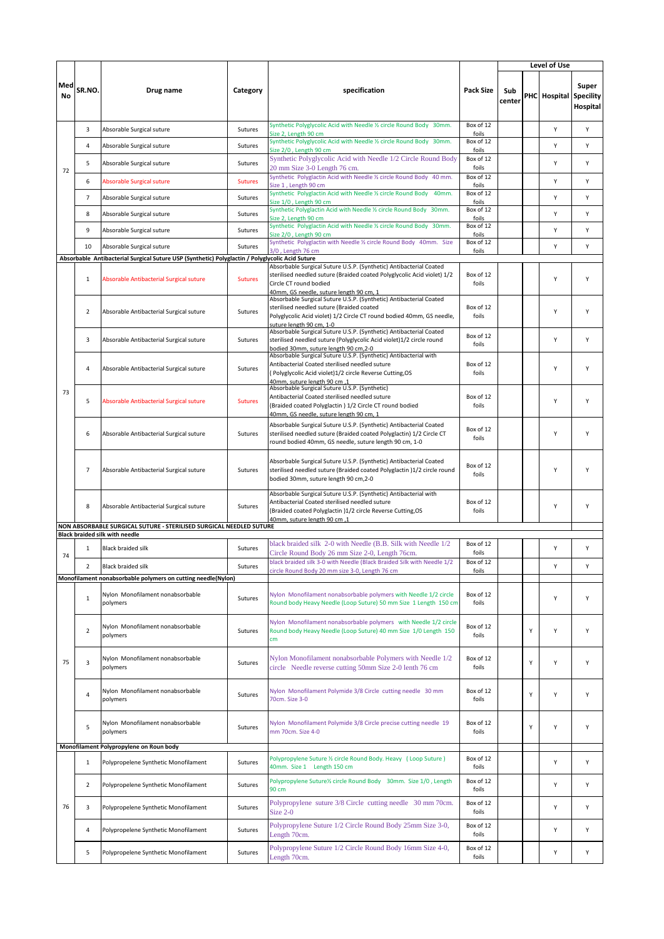|           |                |                                                                                                                              |                |                                                                                                                                                                                                                      |                    |               |   | Level of Use           |                   |
|-----------|----------------|------------------------------------------------------------------------------------------------------------------------------|----------------|----------------------------------------------------------------------------------------------------------------------------------------------------------------------------------------------------------------------|--------------------|---------------|---|------------------------|-------------------|
| Med<br>No | SR.NO.         | Drug name                                                                                                                    | Category       | specification                                                                                                                                                                                                        | Pack Size          | Sub<br>center |   | PHC Hospital Specility | Super<br>Hospital |
|           | 3              | Absorable Surgical suture                                                                                                    | Sutures        | Synthetic Polyglycolic Acid with Needle 1/2 circle Round Body 30mm.                                                                                                                                                  | Box of 12<br>foils |               |   | Υ                      | Υ                 |
|           | 4              | Absorable Surgical suture                                                                                                    | Sutures        | Size 2, Length 90 cm<br>Synthetic Polyglycolic Acid with Needle % circle Round Body 30mm.                                                                                                                            | Box of 12          |               |   | Y                      | Y                 |
|           | 5              | Absorable Surgical suture                                                                                                    | Sutures        | Size 2/0, Length 90 cm<br>Synthetic Polyglycolic Acid with Needle 1/2 Circle Round Body                                                                                                                              | foils<br>Box of 12 |               |   | Υ                      | Υ                 |
| 72        | 6              | Absorable Surgical suture                                                                                                    | <b>Sutures</b> | 20 mm Size 3-0 Length 76 cm.<br>Synthetic Polyglactin Acid with Needle 1/2 circle Round Body 40 mm.                                                                                                                  | foils<br>Box of 12 |               |   | Υ                      | Υ                 |
|           | $\overline{7}$ |                                                                                                                              | Sutures        | Size 1, Length 90 cm<br>Synthetic Polyglactin Acid with Needle 1/2 circle Round Body 40mm.                                                                                                                           | foils<br>Box of 12 |               |   | Υ                      | Υ                 |
|           |                | Absorable Surgical suture                                                                                                    |                | Size 1/0, Length 90 cm<br>Synthetic Polyglactin Acid with Needle 1/2 circle Round Body 30mm.                                                                                                                         | foils<br>Box of 12 |               |   |                        |                   |
|           | 8              | Absorable Surgical suture                                                                                                    | Sutures        | Size 2, Length 90 cm<br>Synthetic Polyglactin Acid with Needle % circle Round Body 30mm.                                                                                                                             | foils<br>Box of 12 |               |   | Υ                      | Υ                 |
|           | 9              | Absorable Surgical suture                                                                                                    | Sutures        | Size 2/0, Length 90 cm<br>Synthetic Polyglactin with Needle 1/2 circle Round Body 40mm. Size                                                                                                                         | foils<br>Box of 12 |               |   | Υ                      | Υ                 |
|           | 10             | Absorable Surgical suture<br>Absorbable Antibacterial Surgical Suture USP (Synthetic) Polyglactin / Polyglycolic Acid Suture | Sutures        | 3/0, Length 76 cm                                                                                                                                                                                                    | foils              |               |   | Υ                      | Υ                 |
|           | $\mathbf{1}$   | Absorable Antibacterial Surgical suture                                                                                      | <b>Sutures</b> | Absorbable Surgical Suture U.S.P. (Synthetic) Antibacterial Coated<br>sterilised needled suture (Braided coated Polyglycolic Acid violet) 1/2<br>Circle CT round bodied<br>40mm, GS needle, suture length 90 cm, 1   | Box of 12<br>foils |               |   | Y                      | Υ                 |
|           | 2              | Absorable Antibacterial Surgical suture                                                                                      | Sutures        | Absorbable Surgical Suture U.S.P. (Synthetic) Antibacterial Coated<br>sterilised needled suture (Braided coated<br>Polyglycolic Acid violet) 1/2 Circle CT round bodied 40mm, GS needle,<br>suture length 90 cm, 1-0 | Box of 12<br>foils |               |   | Y                      | Y                 |
|           | 3              | Absorable Antibacterial Surgical suture                                                                                      | Sutures        | Absorbable Surgical Suture U.S.P. (Synthetic) Antibacterial Coated<br>sterilised needled suture (Polyglycolic Acid violet)1/2 circle round<br>bodied 30mm, suture length 90 cm,2-0                                   | Box of 12<br>foils |               |   | Υ                      | Υ                 |
|           | 4              | Absorable Antibacterial Surgical suture                                                                                      | Sutures        | Absorbable Surgical Suture U.S.P. (Synthetic) Antibacterial with<br>Antibacterial Coated sterilised needled suture<br>(Polyglycolic Acid violet)1/2 circle Reverse Cutting,OS<br>40mm, suture length 90 cm, 1        | Box of 12<br>foils |               |   | Y                      | Y                 |
| 73        | 5              | Absorable Antibacterial Surgical suture                                                                                      | <b>Sutures</b> | Absorbable Surgical Suture U.S.P. (Synthetic)<br>Antibacterial Coated sterilised needled suture<br>(Braided coated Polyglactin) 1/2 Circle CT round bodied<br>40mm, GS needle, suture length 90 cm, 1                | Box of 12<br>foils |               |   | Υ                      | Υ                 |
|           | 6              | Absorable Antibacterial Surgical suture                                                                                      | Sutures        | Absorbable Surgical Suture U.S.P. (Synthetic) Antibacterial Coated<br>sterilised needled suture (Braided coated Polyglactin) 1/2 Circle CT<br>round bodied 40mm, GS needle, suture length 90 cm, 1-0                 | Box of 12<br>foils |               |   | Y                      | Y                 |
|           | $\overline{7}$ | Absorable Antibacterial Surgical suture                                                                                      | Sutures        | Absorbable Surgical Suture U.S.P. (Synthetic) Antibacterial Coated<br>sterilised needled suture (Braided coated Polyglactin) 1/2 circle round<br>bodied 30mm, suture length 90 cm, 2-0                               | Box of 12<br>foils |               |   | Y                      | Υ                 |
|           | 8              | Absorable Antibacterial Surgical suture                                                                                      | Sutures        | Absorbable Surgical Suture U.S.P. (Synthetic) Antibacterial with<br>Antibacterial Coated sterilised needled suture<br>(Braided coated Polyglactin )1/2 circle Reverse Cutting, OS<br>40mm, suture length 90 cm, 1    | Box of 12<br>foils |               |   | Υ                      | Υ                 |
|           |                | NON ABSORBABLE SURGICAL SUTURE - STERILISED SURGICAL NEEDLED SUTURE<br><b>Black braided silk with needle</b>                 |                |                                                                                                                                                                                                                      |                    |               |   |                        |                   |
|           | $\mathbf{1}$   | <b>Black braided silk</b>                                                                                                    | Sutures        | black braided silk 2-0 with Needle (B.B. Silk with Needle 1/2<br>Circle Round Body 26 mm Size 2-0, Length 76cm.                                                                                                      | Box of 12<br>foils |               |   | Υ                      | Y                 |
| 74        | $\overline{2}$ | <b>Black braided silk</b>                                                                                                    | Sutures        | black braided silk 3-0 with Needle (Black Braided Silk with Needle 1/2                                                                                                                                               | Box of 12          |               |   | Υ                      | Υ                 |
|           |                | Monofilament nonabsorbable polymers on cutting needle(Nylon)                                                                 |                | circle Round Body 20 mm size 3-0, Length 76 cm                                                                                                                                                                       | foils              |               |   |                        |                   |
|           | $\mathbf{1}$   | Nylon Monofilament nonabsorbable<br>polymers                                                                                 | Sutures        | Nylon Monofilament nonabsorbable polymers with Needle 1/2 circle<br>Round body Heavy Needle (Loop Suture) 50 mm Size 1 Length 150 cm                                                                                 | Box of 12<br>foils |               |   | Υ                      | Υ                 |
|           | $\overline{2}$ | Nylon Monofilament nonabsorbable<br>polymers                                                                                 | Sutures        | Nylon Monofilament nonabsorbable polymers with Needle 1/2 circle<br>Round body Heavy Needle (Loop Suture) 40 mm Size 1/0 Length 150<br>cm                                                                            | Box of 12<br>foils |               | Υ | Υ                      | Υ                 |
| 75        | 3              | Nylon Monofilament nonabsorbable<br>polymers                                                                                 | Sutures        | Nylon Monofilament nonabsorbable Polymers with Needle 1/2<br>circle Needle reverse cutting 50mm Size 2-0 lenth 76 cm                                                                                                 | Box of 12<br>foils |               | Y | Υ                      | Υ                 |
|           | $\overline{4}$ | Nylon Monofilament nonabsorbable<br>polymers                                                                                 | Sutures        | Nylon Monofilament Polymide 3/8 Circle cutting needle 30 mm<br>70cm. Size 3-0                                                                                                                                        | Box of 12<br>foils |               | Υ | Υ                      | Υ                 |
|           | 5              | Nylon Monofilament nonabsorbable<br>polymers                                                                                 | Sutures        | Nylon Monofilament Polymide 3/8 Circle precise cutting needle 19<br>mm 70cm. Size 4-0                                                                                                                                | Box of 12<br>foils |               | Υ | Υ                      | Υ                 |
|           |                | Monofilament Polypropylene on Roun body                                                                                      |                | Polypropylene Suture % circle Round Body. Heavy ( Loop Suture )                                                                                                                                                      | Box of 12          |               |   |                        |                   |
|           | $\mathbf{1}$   | Polypropelene Synthetic Monofilament                                                                                         | Sutures        | 40mm. Size 1 Length 150 cm<br>Polypropylene Suture% circle Round Body 30mm. Size 1/0, Length                                                                                                                         | foils<br>Box of 12 |               |   | Υ                      | Υ                 |
|           | $\overline{2}$ | Polypropelene Synthetic Monofilament                                                                                         | Sutures        | 90 cm                                                                                                                                                                                                                | foils              |               |   | Υ                      | Υ                 |
| 76        | 3              | Polypropelene Synthetic Monofilament                                                                                         | Sutures        | Polypropylene suture 3/8 Circle cutting needle 30 mm 70cm.<br>Size 2-0                                                                                                                                               | Box of 12<br>foils |               |   | Υ                      | Υ                 |
|           | 4              | Polypropelene Synthetic Monofilament                                                                                         | Sutures        | Polypropylene Suture 1/2 Circle Round Body 25mm Size 3-0,<br>Length 70cm.                                                                                                                                            | Box of 12<br>foils |               |   | Υ                      | Υ                 |
|           | 5              | Polypropelene Synthetic Monofilament                                                                                         | Sutures        | Polypropylene Suture 1/2 Circle Round Body 16mm Size 4-0,<br>Length 70cm.                                                                                                                                            | Box of 12<br>foils |               |   | Υ                      | Υ                 |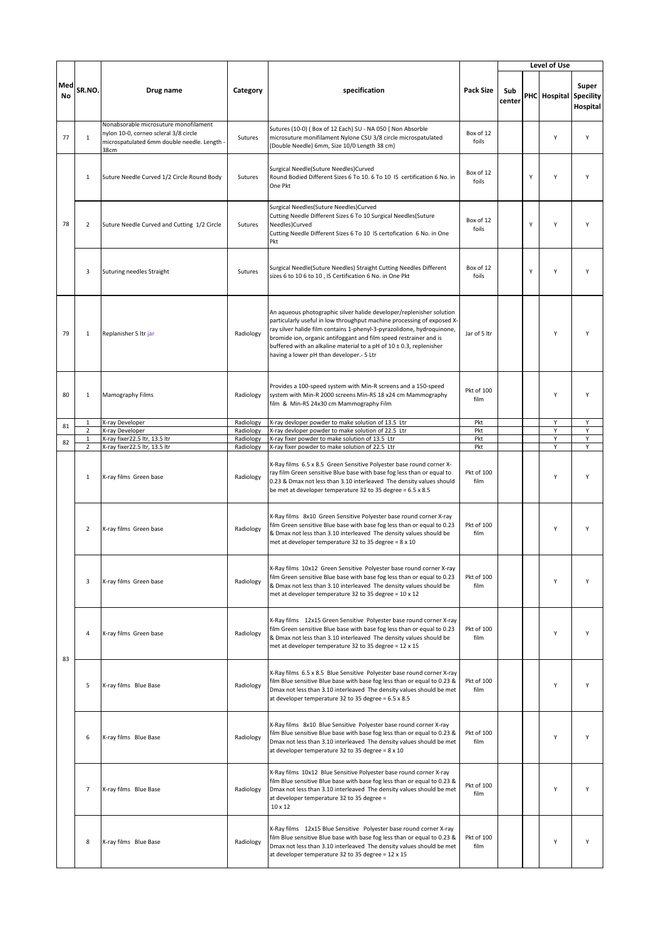|           | SR.NO.                         | Drug name                                                                                                                             |                        |                                                                                                                                                                                                                                                                                                                                                                                                                       |                    |               |   | Level of Use           |                   |
|-----------|--------------------------------|---------------------------------------------------------------------------------------------------------------------------------------|------------------------|-----------------------------------------------------------------------------------------------------------------------------------------------------------------------------------------------------------------------------------------------------------------------------------------------------------------------------------------------------------------------------------------------------------------------|--------------------|---------------|---|------------------------|-------------------|
| Med<br>No |                                |                                                                                                                                       | Category               | specification                                                                                                                                                                                                                                                                                                                                                                                                         | <b>Pack Size</b>   | Sub<br>center |   | PHC Hospital Specility | Super<br>Hospital |
| 77        | $\mathbf{1}$                   | Nonabsorable microsuture monofilament<br>nylon 10-0, corneo scleral 3/8 circle<br>microspatulated 6mm double needle. Length -<br>38cm | Sutures                | Sutures (10-0) (Box of 12 Each) SU - NA 050 { Non Absorble<br>microsuture monifilament Nylone CSU 3/8 circle microspatulated<br>(Double Needle) 6mm, Size 10/0 Length 38 cm}                                                                                                                                                                                                                                          | Box of 12<br>foils |               |   | Y                      | Y                 |
| 78        | $\mathbf{1}$                   | Suture Needle Curved 1/2 Circle Round Body                                                                                            | Sutures                | Surgical Needle(Suture Needles)Curved<br>Round Bodied Different Sizes 6 To 10. 6 To 10 IS certification 6 No. in<br>One Pkt                                                                                                                                                                                                                                                                                           | Box of 12<br>foils |               | Υ | Y                      | Υ                 |
|           | $\overline{2}$                 | Suture Needle Curved and Cutting 1/2 Circle                                                                                           | Sutures                | Surgical Needles(Suture Needles)Curved<br>Cutting Needle Different Sizes 6 To 10 Surgical Needles(Suture<br>Needles)Curved<br>Cutting Needle Different Sizes 6 To 10 IS certofication 6 No. in One<br>Pkt                                                                                                                                                                                                             | Box of 12<br>foils |               | Y | Y                      | Υ                 |
|           | 3                              | Suturing needles Straight                                                                                                             | Sutures                | Surgical Needle(Suture Needles) Straight Cutting Needles Different<br>sizes 6 to 10 6 to 10, IS Certification 6 No. in One Pkt                                                                                                                                                                                                                                                                                        | Box of 12<br>foils |               | Y | Y                      | Y                 |
| 79        | $\mathbf{1}$                   | Replanisher 5 ltr jar                                                                                                                 | Radiology              | An aqueous photographic silver halide developer/replenisher solution<br>particularly useful in low throughput machine processing of exposed X-<br>ray silver halide film contains 1-phenyl-3-pyrazolidone, hydroquinone,<br>bromide ion, organic antifoggant and film speed restrainer and is<br>buffered with an alkaline material to a pH of $10 \pm 0.3$ , replenisher<br>having a lower pH than developer.- 5 Ltr | Jar of 5 ltr       |               |   | Υ                      | Y                 |
| 80        | $\mathbf{1}$                   | Mamography Films                                                                                                                      | Radiology              | Provides a 100-speed system with Min-R screens and a 150-speed<br>system with Min-R 2000 screens Min-RS 18 x24 cm Mammography<br>film & Min-RS 24x30 cm Mammography Film                                                                                                                                                                                                                                              | Pkt of 100<br>film |               |   | Y                      | Y                 |
| 81        | 1                              | X-ray Developer                                                                                                                       | Radiology              | X-ray devloper powder to make solution of 13.5 Ltr                                                                                                                                                                                                                                                                                                                                                                    | Pkt                |               |   | Υ                      | Υ                 |
|           | $\overline{2}$<br>$\mathbf{1}$ | X-ray Developer<br>X-ray fixer22.5 ltr, 13.5 ltr                                                                                      | Radiology<br>Radiology | X-ray devloper powder to make solution of 22.5 Ltr<br>X-ray fixer powder to make solution of 13.5 Ltr                                                                                                                                                                                                                                                                                                                 | Pkt<br>Pkt         |               |   | Υ<br>Υ                 | Υ<br>Υ            |
| 82        | $\overline{2}$                 | X-ray fixer22.5 ltr, 13.5 ltr                                                                                                         | Radiology              | X-ray fixer powder to make solution of 22.5 Ltr                                                                                                                                                                                                                                                                                                                                                                       | Pkt                |               |   | Y                      | Y                 |
|           | $\mathbf{1}$                   | X-ray films Green base                                                                                                                | Radiology              | X-Ray films 6.5 x 8.5 Green Sensitive Polyester base round corner X-<br>ray film Green sensitive Blue base with base fog less than or equal to<br>0.23 & Dmax not less than 3.10 interleaved The density values should<br>be met at developer temperature 32 to 35 degree = 6.5 x 8.5                                                                                                                                 | Pkt of 100<br>film |               |   | Y                      | Υ                 |
| 83        | $\overline{2}$                 | X-ray films Green base                                                                                                                | Radiology              | X-Ray films 8x10 Green Sensitive Polyester base round corner X-ray<br>film Green sensitive Blue base with base fog less than or equal to 0.23<br>& Dmax not less than 3.10 interleaved The density values should be<br>met at developer temperature 32 to 35 degree = 8 x 10                                                                                                                                          | Pkt of 100<br>film |               |   | Y                      | Y                 |
|           | 3                              | X-ray films Green base                                                                                                                | Radiology              | X-Ray films 10x12 Green Sensitive Polyester base round corner X-ray<br>film Green sensitive Blue base with base fog less than or equal to 0.23<br>& Dmax not less than 3.10 interleaved The density values should be<br>met at developer temperature 32 to 35 degree = 10 x 12                                                                                                                                        | Pkt of 100<br>film |               |   | Υ                      | Υ                 |
|           | 4                              | X-ray films Green base                                                                                                                | Radiology              | X-Ray films 12x15 Green Sensitive Polyester base round corner X-ray<br>film Green sensitive Blue base with base fog less than or equal to 0.23<br>& Dmax not less than 3.10 interleaved The density values should be<br>met at developer temperature 32 to 35 degree = 12 x 15                                                                                                                                        | Pkt of 100<br>film |               |   | Υ                      | Υ                 |
|           | 5                              | X-ray films Blue Base                                                                                                                 | Radiology              | X-Ray films 6.5 x 8.5 Blue Sensitive Polyester base round corner X-ray<br>film Blue sensitive Blue base with base fog less than or equal to 0.23 &<br>Dmax not less than 3.10 interleaved The density values should be met<br>at developer temperature 32 to 35 degree = 6.5 x 8.5                                                                                                                                    | Pkt of 100<br>film |               |   | Υ                      | Υ                 |
|           | 6                              | X-ray films Blue Base                                                                                                                 | Radiology              | X-Ray films 8x10 Blue Sensitive Polyester base round corner X-ray<br>film Blue sensitive Blue base with base fog less than or equal to 0.23 &<br>Dmax not less than 3.10 interleaved The density values should be met<br>at developer temperature 32 to 35 degree = 8 x 10                                                                                                                                            | Pkt of 100<br>film |               |   | Υ                      | Υ                 |
|           | $\overline{7}$                 | X-ray films Blue Base                                                                                                                 | Radiology              | X-Ray films 10x12 Blue Sensitive Polyester base round corner X-ray<br>film Blue sensitive Blue base with base fog less than or equal to 0.23 &<br>Dmax not less than 3.10 interleaved The density values should be met<br>at developer temperature 32 to 35 degree =<br>10 x 12                                                                                                                                       | Pkt of 100<br>film |               |   | Υ                      | Υ                 |
|           | 8                              | X-ray films Blue Base                                                                                                                 | Radiology              | X-Ray films 12x15 Blue Sensitive Polyester base round corner X-ray<br>film Blue sensitive Blue base with base fog less than or equal to 0.23 &<br>Dmax not less than 3.10 interleaved The density values should be met<br>at developer temperature 32 to 35 degree = 12 x 15                                                                                                                                          | Pkt of 100<br>film |               |   | Υ                      | Υ                 |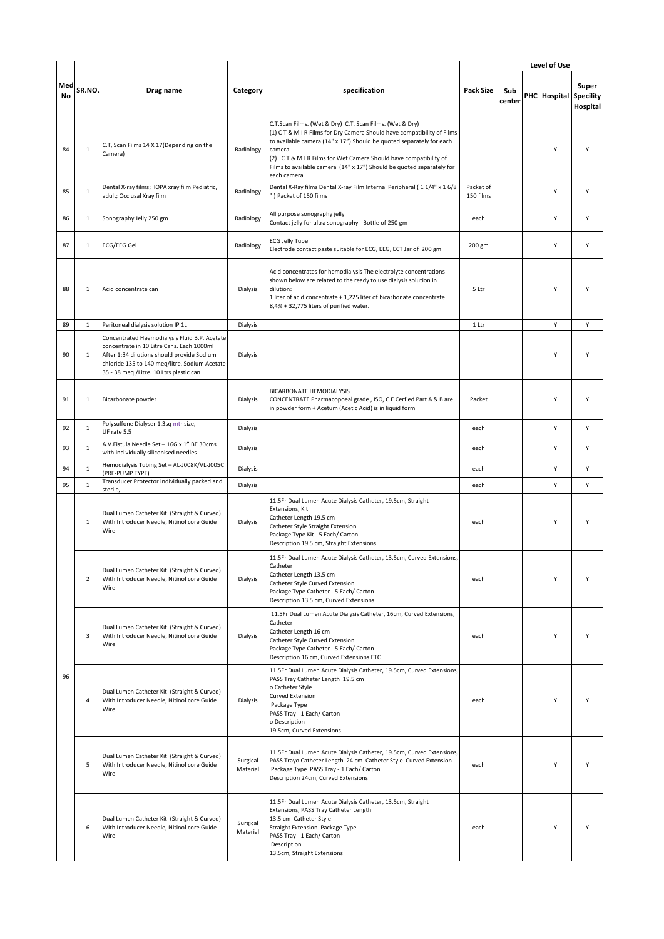|           |                |                                                                                                                                                                                                                                      |                      |                                                                                                                                                                                                                                                                                                                                                                                    |                        |               | Level of Use                  |                   |
|-----------|----------------|--------------------------------------------------------------------------------------------------------------------------------------------------------------------------------------------------------------------------------------|----------------------|------------------------------------------------------------------------------------------------------------------------------------------------------------------------------------------------------------------------------------------------------------------------------------------------------------------------------------------------------------------------------------|------------------------|---------------|-------------------------------|-------------------|
| Med<br>No | SR.NO.         | Drug name                                                                                                                                                                                                                            | Category             | specification                                                                                                                                                                                                                                                                                                                                                                      | <b>Pack Size</b>       | Sub<br>center | <b>PHC</b> Hospital Specility | Super<br>Hospital |
| 84        | $\mathbf{1}$   | C.T, Scan Films 14 X 17 (Depending on the<br>Camera)                                                                                                                                                                                 | Radiology            | C.T, Scan Films. (Wet & Dry) C.T. Scan Films. (Wet & Dry)<br>(1) CT & M I R Films for Dry Camera Should have compatibility of Films<br>to available camera (14" x 17") Should be quoted separately for each<br>camera.<br>(2) CT & M I R Films for Wet Camera Should have compatibility of<br>Films to available camera (14" x 17") Should be quoted separately for<br>each camera |                        |               | Υ                             | Y                 |
| 85        | $\mathbf{1}$   | Dental X-ray films; IOPA xray film Pediatric,<br>adult; Occlusal Xray film                                                                                                                                                           | Radiology            | Dental X-Ray films Dental X-ray Film Internal Peripheral (11/4" x 16/8<br>) Packet of 150 films                                                                                                                                                                                                                                                                                    | Packet of<br>150 films |               | Υ                             | Υ                 |
| 86        | $\mathbf{1}$   | Sonography Jelly 250 gm                                                                                                                                                                                                              | Radiology            | All purpose sonography jelly<br>Contact jelly for ultra sonography - Bottle of 250 gm                                                                                                                                                                                                                                                                                              | each                   |               | Υ                             | Υ                 |
| 87        | $\mathbf{1}$   | ECG/EEG Gel                                                                                                                                                                                                                          | Radiology            | <b>ECG Jelly Tube</b><br>Electrode contact paste suitable for ECG, EEG, ECT Jar of 200 gm                                                                                                                                                                                                                                                                                          | 200 gm                 |               | Υ                             | Υ                 |
| 88        | $\mathbf{1}$   | Acid concentrate can                                                                                                                                                                                                                 | Dialysis             | Acid concentrates for hemodialysis The electrolyte concentrations<br>shown below are related to the ready to use dialysis solution in<br>dilution:<br>1 liter of acid concentrate + 1,225 liter of bicarbonate concentrate<br>8,4% + 32,775 liters of purified water.                                                                                                              | 5 Ltr                  |               | Υ                             | Υ                 |
| 89        | $\mathbf{1}$   | Peritoneal dialysis solution IP 1L                                                                                                                                                                                                   | Dialysis             |                                                                                                                                                                                                                                                                                                                                                                                    | 1 Ltr                  |               | Υ                             | Υ                 |
| 90        | $\mathbf{1}$   | Concentrated Haemodialysis Fluid B.P. Acetate<br>concentrate in 10 Litre Cans. Each 1000ml<br>After 1:34 dilutions should provide Sodium<br>chloride 135 to 140 meq/litre. Sodium Acetate<br>35 - 38 meq./Litre. 10 Ltrs plastic can | Dialysis             |                                                                                                                                                                                                                                                                                                                                                                                    |                        |               | Y                             | Y                 |
| 91        | $\mathbf{1}$   | Bicarbonate powder                                                                                                                                                                                                                   | Dialysis             | <b>BICARBONATE HEMODIALYSIS</b><br>CONCENTRATE Pharmacopoeal grade, ISO, C E Cerfied Part A & B are<br>in powder form + Acetum (Acetic Acid) is in liquid form                                                                                                                                                                                                                     | Packet                 |               | Υ                             | Υ                 |
| 92        | $\mathbf{1}$   | Polysulfone Dialyser 1.3sq mtr size,<br>UF rate 5.5                                                                                                                                                                                  | Dialysis             |                                                                                                                                                                                                                                                                                                                                                                                    | each                   |               | Υ                             | Υ                 |
| 93        | $\mathbf{1}$   | A.V.Fistula Needle Set - 16G x 1" BE 30cms<br>with individually siliconised needles                                                                                                                                                  | Dialysis             |                                                                                                                                                                                                                                                                                                                                                                                    | each                   |               | Y                             | Υ                 |
| 94        | $\mathbf{1}$   | Hemodialysis Tubing Set - AL-J008K/VL-J005C<br>(PRE-PUMP TYPE)                                                                                                                                                                       | Dialysis             |                                                                                                                                                                                                                                                                                                                                                                                    | each                   |               | Y                             | Υ                 |
| 95        | $\mathbf{1}$   | Transducer Protector individually packed and<br>sterile,                                                                                                                                                                             | Dialysis             |                                                                                                                                                                                                                                                                                                                                                                                    | each                   |               | Υ                             | Υ                 |
|           | $\mathbf{1}$   | Dual Lumen Catheter Kit (Straight & Curved)<br>With Introducer Needle, Nitinol core Guide<br>Wire                                                                                                                                    | Dialysis             | 11.5Fr Dual Lumen Acute Dialysis Catheter, 19.5cm, Straight<br>Extensions, Kit<br>Catheter Length 19.5 cm<br>Catheter Style Straight Extension<br>Package Type Kit - 5 Each/ Carton<br>Description 19.5 cm, Straight Extensions                                                                                                                                                    | each                   |               | Υ                             | Υ                 |
|           | $\overline{2}$ | Dual Lumen Catheter Kit (Straight & Curved)<br>With Introducer Needle, Nitinol core Guide<br>Wire                                                                                                                                    | Dialysis             | 11.5Fr Dual Lumen Acute Dialysis Catheter, 13.5cm, Curved Extensions,<br>Catheter<br>Catheter Length 13.5 cm<br>Catheter Style Curved Extension<br>Package Type Catheter - 5 Each/ Carton<br>Description 13.5 cm, Curved Extensions                                                                                                                                                | each                   |               | Y                             | Υ                 |
| 96        | 3              | Dual Lumen Catheter Kit (Straight & Curved)<br>With Introducer Needle, Nitinol core Guide<br>Wire                                                                                                                                    | Dialysis             | 11.5Fr Dual Lumen Acute Dialysis Catheter, 16cm, Curved Extensions,<br>Catheter<br>Catheter Length 16 cm<br>Catheter Style Curved Extension<br>Package Type Catheter - 5 Each/ Carton<br>Description 16 cm, Curved Extensions ETC                                                                                                                                                  | each                   |               | Υ                             | Υ                 |
|           | 4              | Dual Lumen Catheter Kit (Straight & Curved)<br>With Introducer Needle, Nitinol core Guide<br>Wire                                                                                                                                    | Dialysis             | 11.5Fr Dual Lumen Acute Dialysis Catheter, 19.5cm, Curved Extensions,<br>PASS Tray Catheter Length 19.5 cm<br>o Catheter Style<br><b>Curved Extension</b><br>Package Type<br>PASS Tray - 1 Each/ Carton<br>o Description<br>19.5cm, Curved Extensions                                                                                                                              | each                   |               | Υ                             | Υ                 |
|           | 5              | Dual Lumen Catheter Kit (Straight & Curved)<br>With Introducer Needle, Nitinol core Guide<br>Wire                                                                                                                                    | Surgical<br>Material | 11.5Fr Dual Lumen Acute Dialysis Catheter, 19.5cm, Curved Extensions,<br>PASS Trayo Catheter Length 24 cm Catheter Style Curved Extension<br>Package Type PASS Tray - 1 Each/ Carton<br>Description 24cm, Curved Extensions                                                                                                                                                        | each                   |               | Y                             | Y                 |
|           | 6              | Dual Lumen Catheter Kit (Straight & Curved)<br>With Introducer Needle, Nitinol core Guide<br>Wire                                                                                                                                    | Surgical<br>Material | 11.5Fr Dual Lumen Acute Dialysis Catheter, 13.5cm, Straight<br>Extensions, PASS Tray Catheter Length<br>13.5 cm Catheter Style<br>Straight Extension Package Type<br>PASS Tray - 1 Each/ Carton<br>Description<br>13.5cm, Straight Extensions                                                                                                                                      | each                   |               | Υ                             | Y                 |